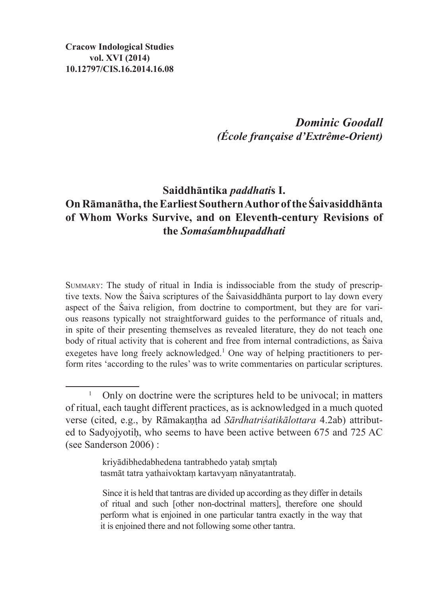*Dominic Goodall (École française d'Extrême-Orient)*

# **Saiddhāntika** *paddhati***s I. OnRāmanātha, theEarliest Southern Author of the Śaivasiddhānta of Whom Works Survive, and on Eleventh-century Revisions of the** *Somaśambhupaddhati*

Summary: The study of ritual in India is indissociable from the study of prescriptive texts. Now the Śaiva scriptures of the Śaivasiddhānta purport to lay down every aspect of the Śaiva religion, from doctrine to comportment, but they are for various reasons typically not straightforward guides to the performance of rituals and, in spite of their presenting themselves as revealed literature, they do not teach one body of ritual activity that is coherent and free from internal contradictions, as Śaiva exegetes have long freely acknowledged.<sup>1</sup> One way of helping practitioners to perform rites 'according to the rules' was to write commentaries on particular scriptures.

kriyādibhedabhedena tantrabhedo yataḥ smrtaḥ tasmāt tatra yathaivoktaṃ kartavyaṃ nānyatantrataḥ.

<sup>&</sup>lt;sup>1</sup> Only on doctrine were the scriptures held to be univocal; in matters of ritual, each taught different practices, as is acknowledged in a much quoted verse (cited, e.g., by Rāmakaṇṭha ad *Sārdhatriśatikālottara* 4.2ab) attributed to Sadyojyotiḥ, who seems to have been active between 675 and 725 AC (see Sanderson 2006) :

Since it is held that tantras are divided up according asthey differ in details of ritual and such [other non-doctrinal matters], therefore one should perform what is enjoined in one particular tantra exactly in the way that it is enjoined there and not following some other tantra.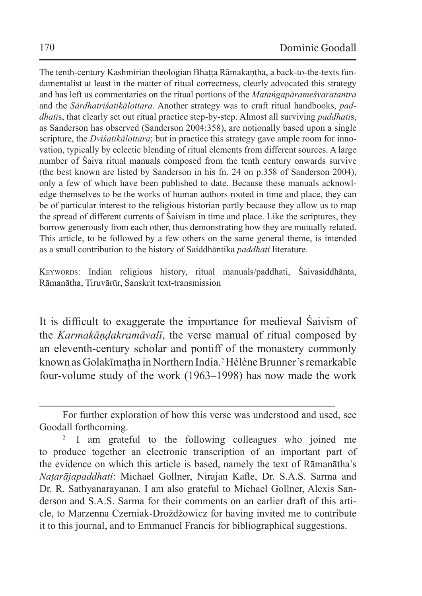The tenth-century Kashmirian theologian Bhaṭṭa Rāmakaṇṭha, a back-to-the-texts fundamentalist at least in the matter of ritual correctness, clearly advocated this strategy and has left us commentaries on the ritual portions of the *Mataṅgapārameśvaratantra* and the *Sārdhatriśatikālottara*. Another strategy was to craft ritual handbooks, *paddhati*s, that clearly set out ritual practice step-by-step. Almost all surviving *paddhati*s, as Sanderson has observed (Sanderson 2004:358), are notionally based upon a single scripture, the *Dviśatikālottara*; but in practice this strategy gave ample room for innovation, typically by eclectic blending of ritual elements from different sources. A large number of Śaiva ritual manuals composed from the tenth century onwards survive (the best known are listed by Sanderson in his fn. 24 on p.358 of Sanderson 2004), only a few of which have been published to date. Because these manuals acknowledge themselves to be the works of human authors rooted in time and place, they can be of particular interest to the religious historian partly because they allow us to map the spread of different currents of Śaivism in time and place. Like the scriptures, they borrow generously from each other, thus demonstrating how they are mutually related. This article, to be followed by a few others on the same general theme, is intended as a small contribution to the history of Saiddhāntika *paddhati* literature.

Keywords: Indian religious history, ritual manuals/paddhati, Śaivasiddhānta, Rāmanātha, Tiruvārūr, Sanskrit text-transmission

It is difficult to exaggerate the importance for medieval Śaivism of the *Karmakāṇḍakramāvalī*, the verse manual of ritual composed by an eleventh-century scholar and pontiff of the monastery commonly known as Golakīmaṭha in Northern India.<sup>2</sup> Hélène Brunner's remarkable four-volume study of the work (1963–1998) has now made the work

For further exploration of how this verse was understood and used, see Goodall forthcoming.

<sup>&</sup>lt;sup>2</sup> I am grateful to the following colleagues who joined me to produce together an electronic transcription of an important part of the evidence on which this article is based, namely the text of Rāmanātha's *Naṭarājapaddhati*: Michael Gollner, Nirajan Kafle, Dr. S.A.S. Sarma and Dr. R. Sathyanarayanan. I am also grateful to Michael Gollner, Alexis Sanderson and S.A.S. Sarma for their comments on an earlier draft of this article, to Marzenna Czerniak-Drożdżowicz for having invited me to contribute it to this journal, and to Emmanuel Francis for bibliographical suggestions.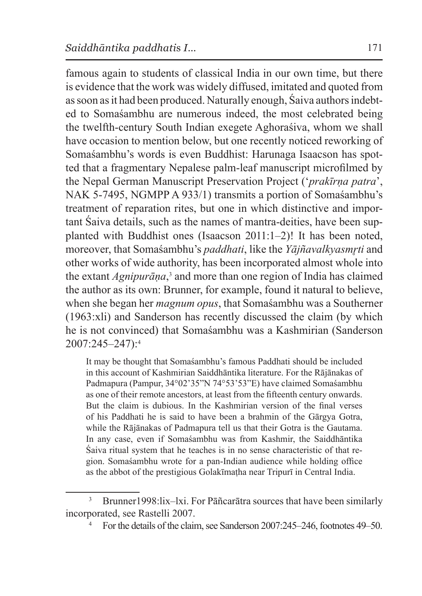famous again to students of classical India in our own time, but there is evidence that the work was widely diffused, imitated and quoted from assoon asit had been produced. Naturally enough, Śaiva authors indebted to Somaśambhu are numerous indeed, the most celebrated being the twelfth-century South Indian exegete Aghoraśiva, whom we shall have occasion to mention below, but one recently noticed reworking of Somaśambhu's words is even Buddhist: Harunaga Isaacson has spotted that a fragmentary Nepalese palm-leaf manuscript microfilmed by the Nepal German Manuscript Preservation Project ('*prakīrṇa patra*', NAK 5-7495, NGMPP A 933/1) transmits a portion of Somaśambhu's treatment of reparation rites, but one in which distinctive and important Śaiva details, such as the names of mantra-deities, have been supplanted with Buddhist ones (Isaacson 2011:1–2)! It has been noted, moreover, that Somaśambhu's *paddhati*, like the *Yājñavalkyasmr̥ti* and other works of wide authority, has been incorporated almost whole into the extant *Agnipurāṇa*, 3 and more than one region of India has claimed the author as its own: Brunner, for example, found it natural to believe, when she began her *magnum opus*, that Somaśambhu was a Southerner (1963:xli) and Sanderson has recently discussed the claim (by which he is not convinced) that Somaśambhu was a Kashmirian (Sanderson 2007:245–247):4

It may be thought that Somaśambhu's famous Paddhati should be included in this account of Kashmirian Saiddhāntika literature. For the Rājānakas of Padmapura (Pampur, 34°02'35"N 74°53'53"E) have claimed Somaśambhu as one of their remote ancestors, at least from the fifteenth century onwards. But the claim is dubious. In the Kashmirian version of the final verses of his Paddhati he is said to have been a brahmin of the Gārgya Gotra, while the Rājānakas of Padmapura tell us that their Gotra is the Gautama. In any case, even if Somaśambhu was from Kashmir, the Saiddhāntika Śaiva ritual system that he teaches is in no sense characteristic of that region. Somaśambhu wrote for a pan-Indian audience while holding office as the abbot of the prestigious Golakīmaṭha near Tripurī in Central India.

<sup>&</sup>lt;sup>3</sup> Brunner 1998: lix-lxi. For Pāñcarātra sources that have been similarly incorporated, see Rastelli 2007.

<sup>4</sup> For the details of the claim, see Sanderson 2007:245–246, footnotes 49–50.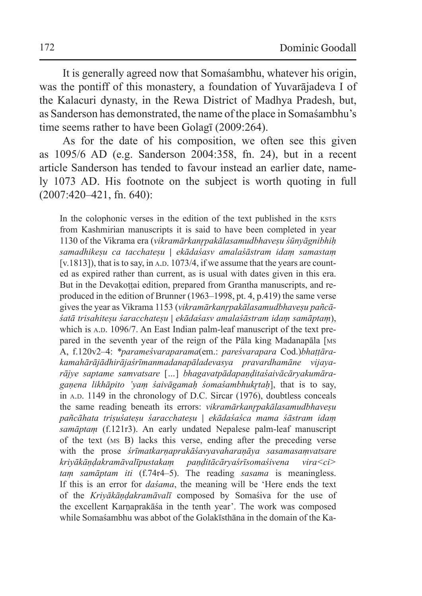It is generally agreed now that Somaśambhu, whatever his origin, was the pontiff of this monastery, a foundation of Yuvarājadeva I of the Kalacuri dynasty, in the Rewa District of Madhya Pradesh, but, as Sanderson has demonstrated, the name of the place in Somaśambhu's time seems rather to have been Golagī (2009:264).

As for the date of his composition, we often see this given as 1095/6 AD (e.g. Sanderson 2004:358, fn. 24), but in a recent article Sanderson has tended to favour instead an earlier date, namely 1073 AD. His footnote on the subject is worth quoting in full (2007:420–421, fn. 640):

In the colophonic verses in the edition of the text published in the ksts from Kashmirian manuscripts it is said to have been completed in year 1130 of the Vikrama era (*vikramārkanr̥pakālasamudbhaveṣu śūnyāgnibhiḥ samadhikeṣu ca tacchateṣu | ekādaśasv amalaśāstram idaṃ samastaṃ* [v.1813]), that is to say, in  $A.D. 1073/4$ , if we assume that the years are counted as expired rather than current, as is usual with dates given in this era. But in the Devakottai edition, prepared from Grantha manuscripts, and reproduced in the edition of Brunner (1963–1998, pt. 4, p.419) the same verse gives the year as Vikrama 1153 (*vikramārkanr̥pakālasamudbhaveṣu pañcāśatā trisahiteṣu śaracchateṣu | ekādaśasv amalaśāstram idaṃ samāptaṃ*), which is A.D. 1096/7. An East Indian palm-leaf manuscript of the text prepared in the seventh year of the reign of the Pāla king Madanapāla [ms A, f.120v2–4: *\*parameśvaraparama*(em.: *pareśvarapara* Cod.)*bhaṭṭārakamahārājādhirājaśrīmanmadanapāladevasya pravardhamāne vijayarājye saptame samvatsare* [*…*] *bhagavatpādapaṇḍitaśaivācāryakumāragaṇena likhāpito 'yaṃ śaivāgamaḥ śomaśambhukr̥taḥ*], that is to say, in  $A.D.$  1149 in the chronology of D.C. Sircar (1976), doubtless conceals the same reading beneath its errors: *vikramārkanr̥pakālasamudbhaveṣu pañcāhata triṣuśateṣu śaracchateṣu | ekādaśaśca mama śāstram idaṃ samāptaṃ* (f.121r3). An early undated Nepalese palm-leaf manuscript of the text (ms B) lacks this verse, ending after the preceding verse with the prose *śrīmatkarṇaprakāśavyavaharaṇāya sasamasaṃvatsare kriyākāṇḍakramāvalīpustakaṃ paṇḍitācāryaśrīsomaśivena vira<ci> taṃ samāptam iti* (f.74r4–5). The reading *sasama* is meaningless. If this is an error for *daśama*, the meaning will be 'Here ends the text of the *Kriyākāṇḍakramāvalī* composed by Somaśiva for the use of the excellent Karṇaprakāśa in the tenth year'. The work was composed while Somaśambhu was abbot of the Golakīsthāna in the domain of the Ka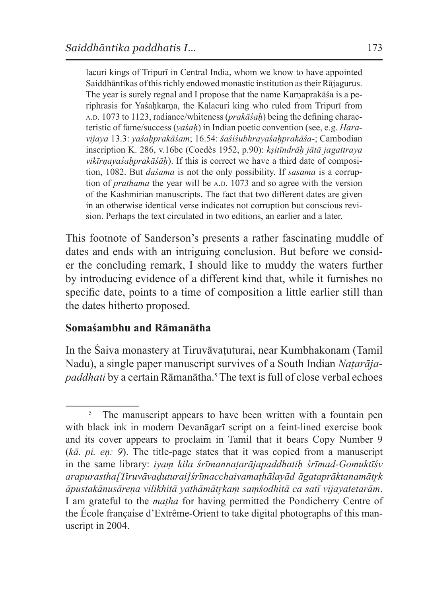lacuri kings of Tripurī in Central India, whom we know to have appointed Saiddhāntikas of this richly endowed monastic institution astheir Rājagurus. The year is surely regnal and I propose that the name Karnaprakā sa is a periphrasis for Yaśaḥkarna, the Kalacuri king who ruled from Tripurī from a.d. 1073 to 1123, radiance/whiteness (*prakāśaḥ*) being the defining characteristic of fame/success (*yaśaḥ*) in Indian poetic convention (see, e.g. *Haravijaya* 13.3: *yaśaḥprakāśam*; 16.54: *śaśiśubhrayaśaḥprakāśa*-; Cambodian inscription K. 286, v.16bc (Coedès 1952, p.90): *kṣitīndrāḥ jātā jagattraya vikīrṇayaśaḥprakāśāḥ*). If this is correct we have a third date of composition, 1082. But *daśama* is not the only possibility. If *sasama* is a corruption of *prathama* the year will be A.D. 1073 and so agree with the version of the Kashmirian manuscripts. The fact that two different dates are given in an otherwise identical verse indicates not corruption but conscious revision. Perhaps the text circulated in two editions, an earlier and a later.

This footnote of Sanderson's presents a rather fascinating muddle of dates and ends with an intriguing conclusion. But before we consider the concluding remark, I should like to muddy the waters further by introducing evidence of a different kind that, while it furnishes no specific date, points to a time of composition a little earlier still than the dates hitherto proposed.

### **Somaśambhu and Rāmanātha**

In the Śaiva monastery at Tiruvāvaṭuturai, near Kumbhakonam (Tamil Nadu), a single paper manuscript survives of a South Indian *Naṭarāja*paddhati by a certain Rāmanātha.<sup>5</sup> The text is full of close verbal echoes

The manuscript appears to have been written with a fountain pen with black ink in modern Devanāgarī script on a feint-lined exercise book and its cover appears to proclaim in Tamil that it bears Copy Number 9 (*kā. pi. eṇ: 9*). The title-page states that it was copied from a manuscript in the same library: *iyaṃ kila śrīmannaṭarājapaddhatiḥ śrīmad-Gomuktīśv arapurastha[Tiruvāvaḍuturai]śrīmacchaivamaṭhālayād āgataprāktanamātr̥k āpustakānusāreṇa vilikhitā yathāmātr̥kaṃ saṃśodhitā ca satī vijayatetarām*. I am grateful to the *maṭha* for having permitted the Pondicherry Centre of the École française d'Extrême-Orient to take digital photographs of this manuscript in 2004.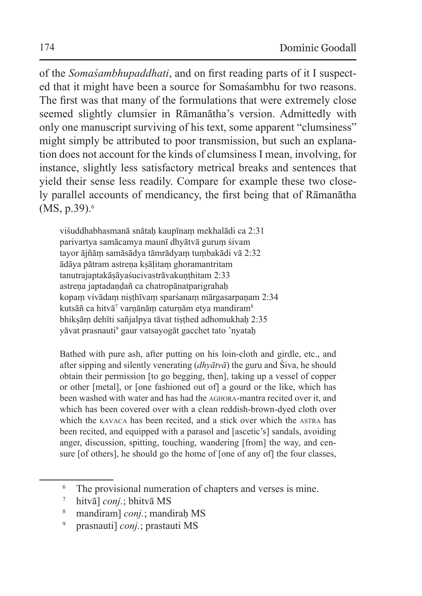of the *Somaśambhupaddhati*, and on first reading parts of it I suspected that it might have been a source for Somaśambhu for two reasons. The first was that many of the formulations that were extremely close seemed slightly clumsier in Rāmanātha's version. Admittedly with only one manuscript surviving of his text, some apparent "clumsiness" might simply be attributed to poor transmission, but such an explanation does not account for the kinds of clumsiness I mean, involving, for instance, slightly less satisfactory metrical breaks and sentences that yield their sense less readily. Compare for example these two closely parallel accounts of mendicancy, the first being that of Rāmanātha (MS, p.39).<sup>6</sup>

viśuddhabhasmanā snātaḥ kaupīnaṃ mekhalādi ca 2:31 parivartya samācamya maunī dhyātvā guruṃ śivam tayor ājñāṃ samāsādya tāmrādyaṃ tuṃbakādi vā 2:32 ādāya pātram astreṇa kṣāḷitaṃ ghoramantritam tanutrajaptakāsāyaśucivastrāvakunthitam 2:33 astrena japtadaṇḍañ ca chatropānatparigrahaḥ kopaṃ vivādaṃ niṣṭhīvaṃ sparśanaṃ mārgasarpaṇam 2:34 kutsāñ ca hitvā<sup>7</sup> varṇānāṃ caturṇām etya mandiram $^8$ bhikṣāṃ dehīti sañjalpya tāvat tiṣṭhed adhomukhaḥ 2:35 yāvat prasnauti<sup>9</sup> gaur vatsayogāt gacchet tato 'nyataḥ

Bathed with pure ash, after putting on his loin-cloth and girdle, etc., and after sipping and silently venerating (*dhyātvā*) the guru and Śiva, he should obtain their permission [to go begging, then], taking up a vessel of copper or other [metal], or [one fashioned out of] a gourd or the like, which has been washed with water and has had the aghora-mantra recited over it, and which has been covered over with a clean reddish-brown-dyed cloth over which the kavaca has been recited, and a stick over which the astra has been recited, and equipped with a parasol and [ascetic's] sandals, avoiding anger, discussion, spitting, touching, wandering [from] the way, and censure [of others], he should go the home of [one of any of] the four classes,

<sup>&</sup>lt;sup>6</sup> The provisional numeration of chapters and verses is mine.

<sup>7</sup> hitvā] *conj.*; bhitvā MS

<sup>8</sup> mandiram] *conj.*; mandiraḥ MS

<sup>9</sup> prasnauti] *conj.*; prastauti MS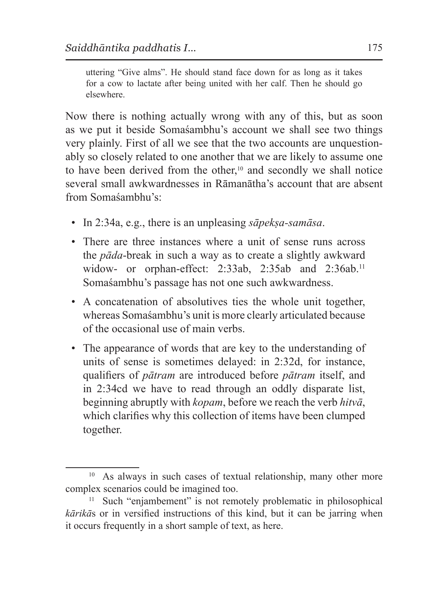uttering "Give alms". He should stand face down for as long as it takes for a cow to lactate after being united with her calf. Then he should go elsewhere.

Now there is nothing actually wrong with any of this, but as soon as we put it beside Somaśambhu's account we shall see two things very plainly. First of all we see that the two accounts are unquestionably so closely related to one another that we are likely to assume one to have been derived from the other,<sup>10</sup> and secondly we shall notice several small awkwardnesses in Rāmanātha's account that are absent from Somaśambhu's:

- In 2:34a, e.g., there is an unpleasing *sāpekṣa-samāsa*.
- There are three instances where a unit of sense runs across the *pāda*-break in such a way as to create a slightly awkward widow- or orphan-effect: 2:33ab, 2:35ab and 2:36ab.<sup>11</sup> Somaśambhu's passage has not one such awkwardness.
- A concatenation of absolutives ties the whole unit together, whereas Somaśambhu's unit is more clearly articulated because of the occasional use of main verbs.
- The appearance of words that are key to the understanding of units of sense is sometimes delayed: in 2:32d, for instance, qualifiers of *pātram* are introduced before *pātram* itself, and in 2:34cd we have to read through an oddly disparate list, beginning abruptly with *kopam*, before we reach the verb *hitvā*, which clarifies why this collection of items have been clumped together.

<sup>&</sup>lt;sup>10</sup> As always in such cases of textual relationship, many other more complex scenarios could be imagined too.

<sup>&</sup>lt;sup>11</sup> Such "enjambement" is not remotely problematic in philosophical *kārikā*s or in versified instructions of this kind, but it can be jarring when it occurs frequently in a short sample of text, as here.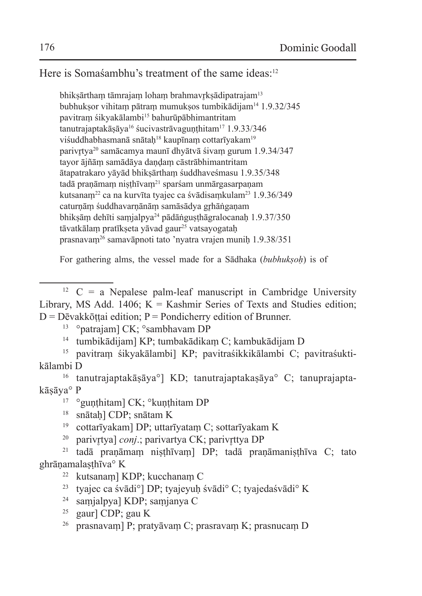Here is Somasambhu's treatment of the same ideas:<sup>12</sup>

bhiksārtham tāmrajam loham brahmavrksādipatrajam<sup>13</sup> bubhukṣor vihitaṃ pātraṃ mumukṣos tumbikādijam14 1.9.32/345 pavitram śikyakālambi<sup>15</sup> bahurūpābhimantritam tanutrajaptakāsāya<sup>16</sup> śucivastrāvagunthitam<sup>17</sup> 1.9.33/346 viśuddhabhasmanā snātah<sup>18</sup> kaupīnam cottarīyakam<sup>19</sup> parivr̥tya20 samācamya maunī dhyātvā śivaṃ gurum 1.9.34/347 tayor ājñāṃ samādāya daṇḍaṃ cāstrābhimantritam ātapatrakaro yāyād bhikṣārthaṃ śuddhaveśmasu 1.9.35/348 tadā pranāmam nisthīvam<sup>21</sup> sparśam unmārgasarpanam kutsanaṃ22 ca na kurvīta tyajec ca śvādisaṃkulam23 1.9.36/349 caturnām śuddhavarṇānām samāsādya grhāṅgaṇam bhiksām dehīti samjalpya<sup>24</sup> pādāṅgusthāgralocanah 1.9.37/350 tāvatkālam pratīkseta vāvad gaur<sup>25</sup> vatsayogatah prasnavaṃ26 samavāpnoti tato 'nyatra vrajen muniḥ 1.9.38/351

For gathering alms, the vessel made for a Sādhaka (*bubhukṣoḥ*) is of

- <sup>14</sup> tumbikādijam] KP; tumbakādikaṃ C; kambukādijam D
- <sup>15</sup> pavitraṃ śikyakālambi] KP; pavitraśikkikālambi C; pavitraśuktikālambi D

<sup>16</sup> tanutrajaptakāṣāya°] KD; tanutrajaptakaṣāya° C; tanuprajaptakāsāva° P

- <sup>17</sup> °gunthitam] CK; °kunthitam DP
- <sup>18</sup> snātaḥ] CDP; snātam K
- <sup>19</sup> cottarīyakam] DP; uttarīyataṃ C; sottarīyakam K
- <sup>20</sup> parivrtya] *conj*.; parivartya CK; parivrttya DP

 $21$  tadā praṇāmam niṣṭhīvam] DP; tadā praṇāmaṇiṣṭhīva C; tato ghrāṇamalaṣṭhīva° K

- <sup>24</sup> saṃjalpya] KDP; saṃjanya C
- <sup>25</sup> gaur] CDP; gau K
- <sup>26</sup> prasnavam] P; pratyāvam C; prasravam K; prasnucam D

<sup>&</sup>lt;sup>12</sup> C = a Nepalese palm-leaf manuscript in Cambridge University Library, MS Add. 1406;  $K =$  Kashmir Series of Texts and Studies edition;  $D = D\bar{e}$ vakkōttai edition; P = Pondicherry edition of Brunner.

<sup>13</sup> °patrajam] CK; °sambhavam DP

<sup>22</sup> kutsanaṃ] KDP; kucchanaṃ C

<sup>23</sup> tyajec ca śvādi°] DP; tyajeyuḥ śvādi° C; tyajedaśvādi° K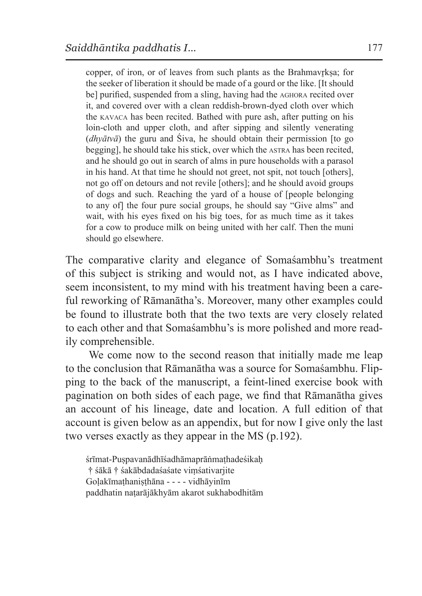copper, of iron, or of leaves from such plants as the Brahmavrksa; for the seeker of liberation it should be made of a gourd or the like. [It should be] purified, suspended from a sling, having had the aghora recited over it, and covered over with a clean reddish-brown-dyed cloth over which the kavaca has been recited. Bathed with pure ash, after putting on his loin-cloth and upper cloth, and after sipping and silently venerating (*dhyātvā*) the guru and Śiva, he should obtain their permission [to go begging], he should take his stick, over which the astra has been recited, and he should go out in search of alms in pure households with a parasol in his hand. At that time he should not greet, not spit, not touch [others], not go off on detours and not revile [others]; and he should avoid groups of dogs and such. Reaching the yard of a house of [people belonging to any of] the four pure social groups, he should say "Give alms" and wait, with his eyes fixed on his big toes, for as much time as it takes for a cow to produce milk on being united with her calf. Then the muni should go elsewhere.

The comparative clarity and elegance of Somaśambhu's treatment of this subject is striking and would not, as I have indicated above, seem inconsistent, to my mind with his treatment having been a careful reworking of Rāmanātha's. Moreover, many other examples could be found to illustrate both that the two texts are very closely related to each other and that Somaśambhu's is more polished and more readily comprehensible.

We come now to the second reason that initially made me leap to the conclusion that Rāmanātha was a source for Somaśambhu. Flipping to the back of the manuscript, a feint-lined exercise book with pagination on both sides of each page, we find that Rāmanātha gives an account of his lineage, date and location. A full edition of that account is given below as an appendix, but for now I give only the last two verses exactly as they appear in the MS (p.192).

śrīmat-Puspavanādhīśadhāmaprāṅmathadeśikah † śākā † śakābdadaśaśate viṃśativarjite Goḷakīmaṭhaniṣṭhāna - - - - vidhāyinīm paddhatin naṭarājākhyām akarot sukhabodhitām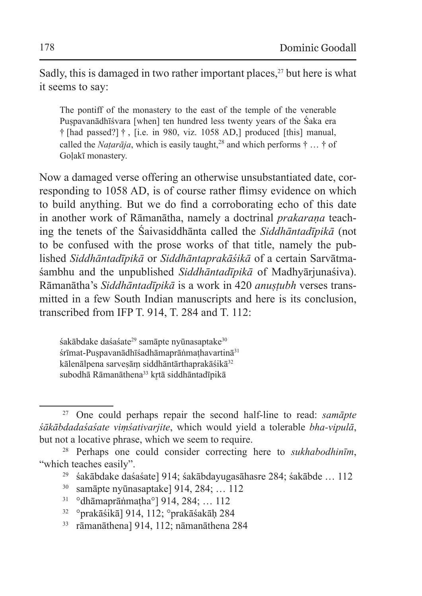Sadly, this is damaged in two rather important places,<sup>27</sup> but here is what it seems to say:

The pontiff of the monastery to the east of the temple of the venerable Puspavanādhīśvara [when] ten hundred less twenty years of the Śaka era † [had passed?] † , [i.e. in 980, viz. 1058 AD,] produced [this] manual, called the *Natarāja*, which is easily taught,<sup>28</sup> and which performs  $\dagger$  ...  $\dagger$  of Golakī monastery.

Now a damaged verse offering an otherwise unsubstantiated date, corresponding to 1058 AD, is of course rather flimsy evidence on which to build anything. But we do find a corroborating echo of this date in another work of Rāmanātha, namely a doctrinal *prakarana* teaching the tenets of the Śaivasiddhānta called the *Siddhāntadīpikā* (not to be confused with the prose works of that title, namely the published *Siddhāntadīpikā* or *Siddhāntaprakāśikā* of a certain Sarvātmaśambhu and the unpublished *Siddhāntadīpikā* of Madhyārjunaśiva). Rāmanātha's *Siddhāntadīpikā* is a work in 420 *anuṣṭubh* verses transmitted in a few South Indian manuscripts and here is its conclusion, transcribed from IFP T. 914, T. 284 and T. 112:

śakābdake daśaśate<sup>29</sup> samāpte nyūnasaptake<sup>30</sup> śrīmat-Puspavanādhīśadhāmaprāṅmathavartinā<sup>31</sup> kālenālpena sarvesām siddhāntārthaprakāśikā<sup>32</sup> subodhā Rāmanāthena<sup>33</sup> krtā siddhāntadīpikā

<sup>27</sup> One could perhaps repair the second half-line to read: *samāpte śākābdadaśaśate viṃśativarjite*, which would yield a tolerable *bha-vipulā*, but not a locative phrase, which we seem to require.

<sup>28</sup> Perhaps one could consider correcting here to *sukhabodhinīm*, "which teaches easily".

<sup>29</sup> śakābdake daśaśate] 914; śakābdayugasāhasre 284; śakābde … 112

<sup>30</sup> samāpte nyūnasaptake] 914, 284; … 112

<sup>31</sup> °dhāmaprāṅmaṭha°] 914, 284; … 112

<sup>32</sup> °prakāśikā] 914, 112; °prakāśakāḥ 284

<sup>33</sup> rāmanāthena] 914, 112; nāmanāthena 284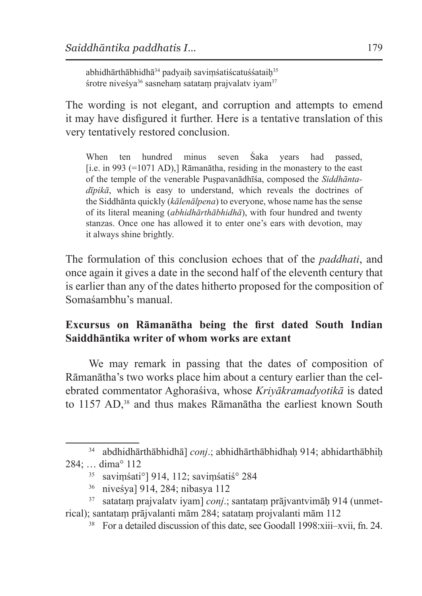abhidhārthābhidhā<sup>34</sup> padyaih savimśatiścatuśśataih<sup>35</sup> śrotre niveśya<sup>36</sup> sasneham satatam prajvalaty iyam<sup>37</sup>

The wording is not elegant, and corruption and attempts to emend it may have disfigured it further. Here is a tentative translation of this very tentatively restored conclusion.

When ten hundred minus seven Śaka years had passed, [i.e. in 993  $(=1071$  AD),] Rāmanātha, residing in the monastery to the east of the temple of the venerable Puṣpavanādhīśa, composed the *Siddhāntadīpikā*, which is easy to understand, which reveals the doctrines of the Siddhānta quickly (*kālenālpena*) to everyone, whose name has the sense of its literal meaning (*abhidhārthābhidhā*), with four hundred and twenty stanzas. Once one has allowed it to enter one's ears with devotion, may it always shine brightly.

The formulation of this conclusion echoes that of the *paddhati*, and once again it gives a date in the second half of the eleventh century that is earlier than any of the dates hitherto proposed for the composition of Somaśambhu's manual.

## **Excursus on Rāmanātha being the first dated South Indian Saiddhāntika writer of whom works are extant**

We may remark in passing that the dates of composition of Rāmanātha's two works place him about a century earlier than the celebrated commentator Aghoraśiva, whose *Kriyākramadyotikā* is dated to 1157 AD, 38 and thus makes Rāmanātha the earliest known South

<sup>34</sup> abdhidhārthābhidhā] *conj*.; abhidhārthābhidhaḥ 914; abhidarthābhiḥ 284; … dima° 112

<sup>35</sup> saviṃśati°] 914, 112; saviṃśatiś° 284

<sup>36</sup> niveśya] 914, 284; nibasya 112

<sup>37</sup> satataṃ prajvalatv iyam] *conj*.; santataṃ prājvantvimāḥ 914 (unmetrical); santataṃ prājvalanti mām 284; satataṃ projvalanti mām 112

<sup>38</sup> For a detailed discussion of this date, see Goodall 1998:xiii–xvii, fn. 24.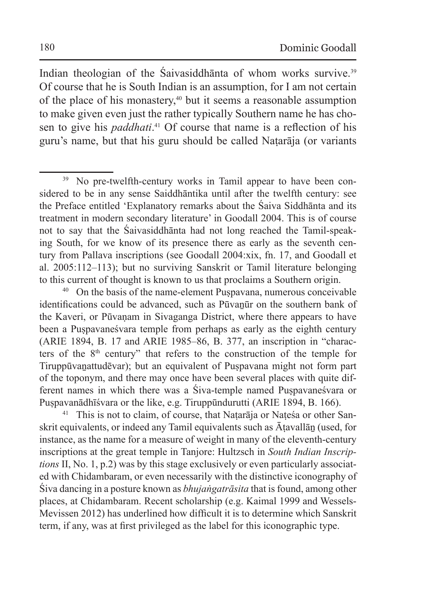Indian theologian of the Śaivasiddhānta of whom works survive.39 Of course that he is South Indian is an assumption, for I am not certain of the place of his monastery,40 but it seems a reasonable assumption to make given even just the rather typically Southern name he has chosen to give his *paddhati*. 41 Of course that name is a reflection of his guru's name, but that his guru should be called Naṭarāja (or variants

<sup>40</sup> On the basis of the name-element Puṣpavana, numerous conceivable identifications could be advanced, such as Pūvaṉūr on the southern bank of the Kaveri, or Pūvaṇam in Sivaganga District, where there appears to have been a Puṣpavaneśvara temple from perhaps as early as the eighth century (ARIE 1894, B. 17 and ARIE 1985–86, B. 377, an inscription in "characters of the 8th century" that refers to the construction of the temple for Tiruppūvaṉattudēvar); but an equivalent of Puṣpavana might not form part of the toponym, and there may once have been several places with quite different names in which there was a Śiva-temple named Puṣpavaneśvara or Puṣpavanādhīśvara or the like, e.g. Tiruppūndurutti (ARIE 1894, B. 166).

<sup>41</sup> This is not to claim, of course, that Nataraja or Nates a or other Sanskrit equivalents, or indeed any Tamil equivalents such as Ātavallān (used, for instance, as the name for a measure of weight in many of the eleventh-century inscriptions at the great temple in Tanjore: Hultzsch in *South Indian Inscriptions* II, No. 1, p.2) was by this stage exclusively or even particularly associated with Chidambaram, or even necessarily with the distinctive iconography of Śiva dancing in a posture known as *bhujaṅgatrāsita* that isfound, among other places, at Chidambaram. Recent scholarship (e.g. Kaimal 1999 and Wessels-Mevissen 2012) has underlined how difficult it is to determine which Sanskrit term, if any, was at first privileged as the label for this iconographic type.

<sup>&</sup>lt;sup>39</sup> No pre-twelfth-century works in Tamil appear to have been considered to be in any sense Saiddhāntika until after the twelfth century: see the Preface entitled 'Explanatory remarks about the Śaiva Siddhānta and its treatment in modern secondary literature' in Goodall 2004. This is of course not to say that the Śaivasiddhānta had not long reached the Tamil-speaking South, for we know of its presence there as early as the seventh century from Pallava inscriptions (see Goodall 2004:xix, fn. 17, and Goodall et al. 2005:112–113); but no surviving Sanskrit or Tamil literature belonging to this current of thought is known to us that proclaims a Southern origin.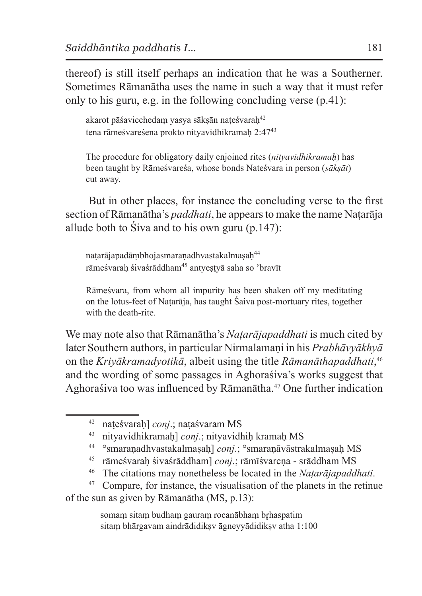thereof) is still itself perhaps an indication that he was a Southerner. Sometimes Rāmanātha uses the name in such a way that it must refer only to his guru, e.g. in the following concluding verse (p.41):

akarot pāśavicchedam yasya sākṣān naṭeśvaraḥ<sup>42</sup> tena rāmeśvareśena prokto nityavidhikramah 2:47<sup>43</sup>

The procedure for obligatory daily enjoined rites (*nityavidhikramaḥ*) has been taught by Rāmeśvareśa, whose bonds Nateśvara in person (*sākṣāt*) cut away.

But in other places, for instance the concluding verse to the first section of Rāmanātha's *paddhati*, he appears to make the name Naṭarāja allude both to Śiva and to his own guru (p.147):

naṭarājapadāṃbhojasmaraṇadhvastakalmaṣaḥ<sup>44</sup> rāmeśvaraḥ śivaśrāddham<sup>45</sup> antyeṣṭyā saha so 'bravīt

Rāmeśvara, from whom all impurity has been shaken off my meditating on the lotus-feet of Naṭarāja, has taught Śaiva post-mortuary rites, together with the death-rite.

We may note also that Rāmanātha's *Naṭarājapaddhati* is much cited by later Southern authors, in particular Nirmalamaṇi in his *Prabhāvyākhyā* on the *Kriyākramadyotikā*, albeit using the title *Rāmanāthapaddhati*, 46 and the wording of some passages in Aghoraśiva's works suggest that Aghoraśiva too was influenced by Rāmanātha.47 One further indication

- <sup>44</sup> °smaraṇadhvastakalmaṣaḥ] *conj*.; °smaraṇāvāstrakalmaṣaḥ MS
- rāmeśvarah śivaśrāddham] *conj.*; rāmīśvarena srāddham MS
- <sup>46</sup> The citations may nonetheless be located in the *Naṭarājapaddhati*.

<sup>47</sup> Compare, for instance, the visualisation of the planets in the retinue of the sun as given by Rāmanātha (MS, p.13):

> somaṃ sitaṃ budhaṃ gauraṃ rocanābhaṃ br̥haspatim sitam bhārgavam aindrādidiksv āgneyyādidiksv atha 1:100

<sup>42</sup> naṭeśvaraḥ] *conj*.; naṭaśvaram MS

<sup>43</sup> nityavidhikramaḥ] *conj*.; nityavidhiḥ kramaḥ MS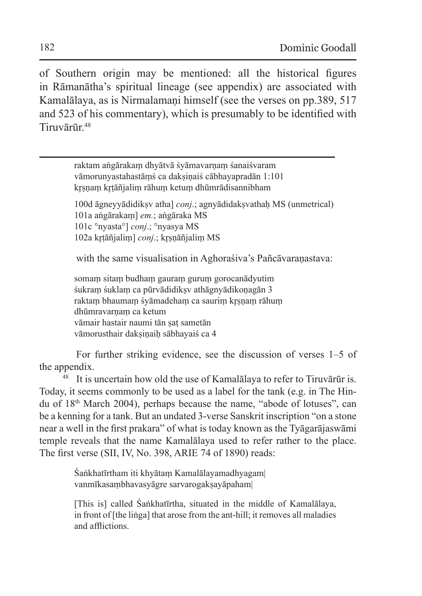of Southern origin may be mentioned: all the historical figures in Rāmanātha's spiritual lineage (see appendix) are associated with Kamalālaya, as is Nirmalamani himself (see the verses on pp.389, 517) and 523 of his commentary), which is presumably to be identified with Tiruvārūr.48

| raktam angārakam dhyātvā śyāmavarnam śanaiśvaram                   |
|--------------------------------------------------------------------|
| vāmorunyastahastāms ca daksinais cābhayapradān 1:101               |
| krsnam krtāñjalim rāhum ketum dhūmrādisannibham                    |
| 100d āgneyyādidiksv atha] conj.; agnyādidaksvathaḥ MS (unmetrical) |
| 101a angārakam] em.; angāraka MS                                   |
| 101c °nyasta°] conj.; °nyasya MS                                   |
| 102a krtāñjalim] conj.; krsņāñjalim MS                             |
| with the same visualisation in Aghorasiva's Pañcavaranastava:      |

somaṃ sitaṃ budhaṃ gauraṃ guruṃ gorocanādyutim śukram śuklam ca pūrvādidiksv athāgnyādikonagān 3 raktam bhaumam śyāmadeham ca saurim krsnam rāhum dhūmravarṇaṃ ca ketum vāmair hastair naumi tān sat sametān vāmorusthair dakṣiṇaiḥ sābhayaiś ca 4

For further striking evidence, see the discussion of verses 1–5 of the appendix.

<sup>48</sup> It is uncertain how old the use of Kamalālaya to refer to Tiruvārūr is. Today, it seems commonly to be used as a label for the tank (e.g. in The Hindu of 18th March 2004), perhaps because the name, "abode of lotuses", can be a kenning for a tank. But an undated 3-verse Sanskrit inscription "on a stone near a well in the first prakara" of what is today known as the Tyāgarājaswāmi temple reveals that the name Kamalālaya used to refer rather to the place. The first verse (SII, IV, No. 398, ARIE 74 of 1890) reads:

> Śaṅkhatīrtham iti khyātaṃ Kamalālayamadhyagam| vanmīkasambhavasyāgre sarvarogaksayāpaham

[This is] called Śaṅkhatīrtha, situated in the middle of Kamalālaya, in front of [the liṅga] that arose from the ant-hill; it removes all maladies and afflictions.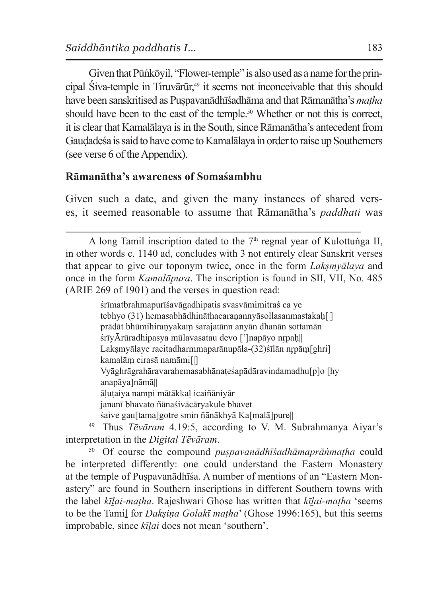Given that Pūṅkōyil, "Flower-temple" is also used as a name for the principal Śiva-temple in Tiruvārūr,<sup>49</sup> it seems not inconceivable that this should have been sanskritised as Puṣpavanādhīśadhāma and that Rāmanātha's *maṭha* should have been to the east of the temple.<sup>50</sup> Whether or not this is correct, it is clear that Kamalālaya is in the South, since Rāmanātha's antecedent from Gaudadeśa is said to have come to Kamalālaya in order to raise up Southerners (see verse 6 of the Appendix).

### **Rāmanātha's awareness of Somaśambhu**

Given such a date, and given the many instances of shared verses, it seemed reasonable to assume that Rāmanātha's *paddhati* was

śrīmatbrahmapurīśavāgadhipatis svasvāmimitraś ca ye tebhyo (31) hemasabhādhināthacaranannyāsollasanmastakah[|] prādāt bhūmihiraṇyakaṃ sarajatānn anyān dhanān sottamān śrīyĀrūradhipasya mūlavasatau devo [']napāyo nrpaḥ|| Lakṣmyālaye racitadharmmaparānupāla-(32)śīlān nr̥pām[ghri] kamalāṃ cirasā namāmi[|] Vyāghrāgrahāravarahemasabhānaṭeśapādāravindamadhu[p]o [hy anapāya]nāmā|| āḷuṭaiya nampi mātākkaḷ icaiñāniyār jananī bhavato ñānaśivācāryakule bhavet śaive gau[tama]gotre smin ñānākhyā Ka[malā]pure||

<sup>49</sup> Thus *Tēvāram* 4.19:5, according to V. M. Subrahmanya Aiyar's interpretation in the *Digital Tēvāram*.

<sup>50</sup> Of course the compound *puṣpavanādhīśadhāmaprāṅmaṭha* could be interpreted differently: one could understand the Eastern Monastery at the temple of Puṣpavanādhīśa. A number of mentions of an "Eastern Monastery" are found in Southern inscriptions in different Southern towns with the label *kīḻai-maṭha*. Rajeshwari Ghose has written that *kīḻai-maṭha* 'seems to be the Tamiḻ for *Dakṣiṇa Golakī maṭha*' (Ghose 1996:165), but this seems improbable, since *kīḻai* does not mean 'southern'.

A long Tamil inscription dated to the  $7<sup>th</sup>$  regnal year of Kulottuṅga II, in other words c. 1140 ad, concludes with 3 not entirely clear Sanskrit verses that appear to give our toponym twice, once in the form *Lakṣmyālaya* and once in the form *Kamalāpura*. The inscription is found in SII, VII, No. 485 (ARIE 269 of 1901) and the verses in question read: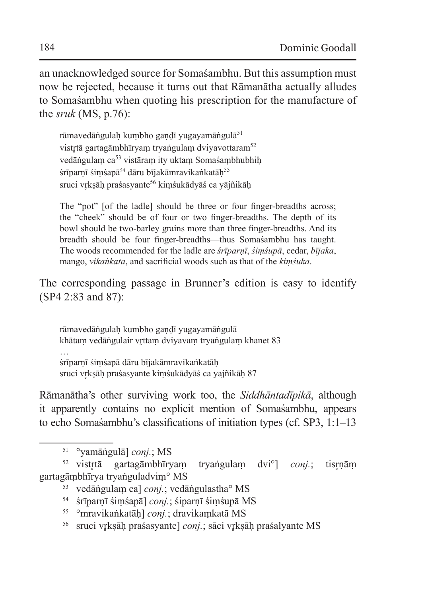an unacknowledged source for Somaśambhu. But this assumption must now be rejected, because it turns out that Rāmanātha actually alludes to Somaśambhu when quoting his prescription for the manufacture of the *sruk* (MS, p.76):

rāmavedāṅgulaḥ kuṃbho gaṇḍī yugayamāṅgulā<sup>51</sup> vistrtā gartagāmbhīryam tryaṅgulam dviyavottaram<sup>52</sup> vedāṅgulam ca<sup>53</sup> vistāram ity uktam Somaśambhubhih śrīparnī śimśapā<sup>54</sup> dāru bījakāmravikaṅkatāh<sup>55</sup> sruci vrksāh praśasyante<sup>56</sup> kimśukādyāś ca yājñikāh

The "pot" [of the ladle] should be three or four finger-breadths across: the "cheek" should be of four or two finger-breadths. The depth of its bowl should be two-barley grains more than three finger-breadths. And its breadth should be four finger-breadths—thus Somaśambhu has taught. The woods recommended for the ladle are *śrīparṇī*, *śiṃśupā*, cedar, *bījaka*, mango, *vikaṅkata*, and sacrificial woods such as that of the *kiṃśuka*.

The corresponding passage in Brunner's edition is easy to identify (SP4 2:83 and 87):

rāmavedāṅgulaḥ kumbho gaṇḍī yugayamāṅgulā khātaṃ vedāṅgulair vr̥ttaṃ dviyavaṃ tryaṅgulaṃ khanet 83

… śrīparṇī śiṃśapā dāru bījakāmravikaṅkatāḥ sruci vr̥kṣāḥ praśasyante kiṃśukādyāś ca yajñikāḥ 87

Rāmanātha's other surviving work too, the *Siddhāntadīpikā*, although it apparently contains no explicit mention of Somaśambhu, appears to echo Somaśambhu's classifications of initiation types (cf. SP3, 1:1–13

- <sup>54</sup> śrīparṇī śiṃśapā] *conj.*; śiparṇī śiṃśupā MS
- <sup>55</sup> °mravikaṅkatāḥ] *conj.*; dravikaṃkatā MS
- <sup>56</sup> sruci vrksāh praśasyante] *conj.*; sāci vrksāh praśalyante MS

<sup>51</sup> °yamāṅgulā] *conj.*; MS

<sup>&</sup>lt;sup>52</sup> vistrtā gartagāmbhīryam tryaṅgulam dvi<sup>o</sup>] *conj.*; tisrnām gartagāṃbhīrya tryaṅguladviṃ° MS

<sup>53</sup> vedāṅgulaṃ ca] *conj.*; vedāṅgulastha° MS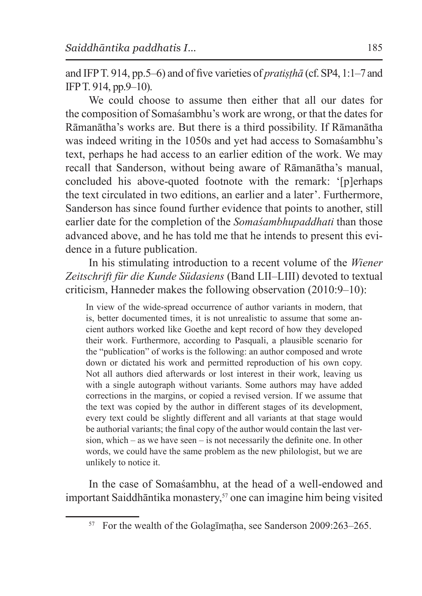and IFP T. 914, pp.5–6) and of five varieties of *pratiṣṭhā* (cf.SP4, 1:1–7 and IFP T. 914, pp.9–10).

We could choose to assume then either that all our dates for the composition of Somaśambhu's work are wrong, or that the dates for Rāmanātha's works are. But there is a third possibility. If Rāmanātha was indeed writing in the 1050s and yet had access to Somaśambhu's text, perhaps he had access to an earlier edition of the work. We may recall that Sanderson, without being aware of Rāmanātha's manual, concluded his above-quoted footnote with the remark: '[p]erhaps the text circulated in two editions, an earlier and a later'. Furthermore, Sanderson has since found further evidence that points to another, still earlier date for the completion of the *Somaśambhupaddhati* than those advanced above, and he has told me that he intends to present this evidence in a future publication.

In his stimulating introduction to a recent volume of the *Wiener Zeitschrift für die Kunde Südasiens* (Band LII–LIII) devoted to textual criticism, Hanneder makes the following observation (2010:9–10):

In view of the wide-spread occurrence of author variants in modern, that is, better documented times, it is not unrealistic to assume that some ancient authors worked like Goethe and kept record of how they developed their work. Furthermore, according to Pasquali, a plausible scenario for the "publication" of works is the following: an author composed and wrote down or dictated his work and permitted reproduction of his own copy. Not all authors died afterwards or lost interest in their work, leaving us with a single autograph without variants. Some authors may have added corrections in the margins, or copied a revised version. If we assume that the text was copied by the author in different stages of its development, every text could be slightly different and all variants at that stage would be authorial variants; the final copy of the author would contain the last version, which – as we have seen – is not necessarily the definite one. In other words, we could have the same problem as the new philologist, but we are unlikely to notice it.

In the case of Somaśambhu, at the head of a well-endowed and important Saiddhāntika monastery,<sup>57</sup> one can imagine him being visited

<sup>57</sup> For the wealth of the Golagīmaṭha, see Sanderson 2009:263–265.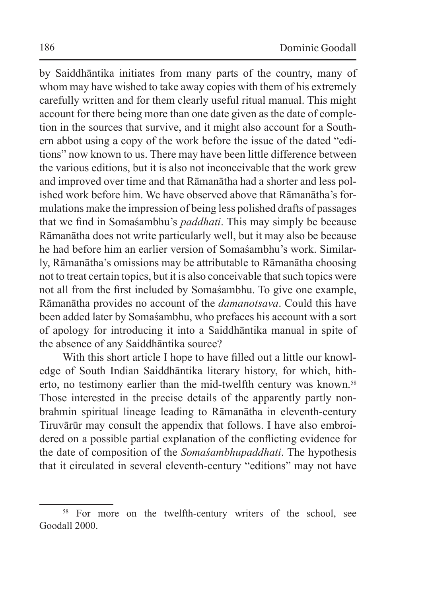by Saiddhāntika initiates from many parts of the country, many of whom may have wished to take away copies with them of his extremely carefully written and for them clearly useful ritual manual. This might account for there being more than one date given as the date of completion in the sources that survive, and it might also account for a Southern abbot using a copy of the work before the issue of the dated "editions" now known to us. There may have been little difference between the various editions, but it is also not inconceivable that the work grew and improved over time and that Rāmanātha had a shorter and less polished work before him. We have observed above that Rāmanātha's formulations make the impression of being less polished drafts of passages that we find in Somaśambhu's *paddhati*. This may simply be because Rāmanātha does not write particularly well, but it may also be because he had before him an earlier version of Somaśambhu's work. Similarly, Rāmanātha's omissions may be attributable to Rāmanātha choosing not to treat certain topics, but it is also conceivable that such topics were not all from the first included by Somaśambhu. To give one example, Rāmanātha provides no account of the *damanotsava*. Could this have been added later by Somaśambhu, who prefaces his account with a sort of apology for introducing it into a Saiddhāntika manual in spite of the absence of any Saiddhāntika source?

With this short article I hope to have filled out a little our knowledge of South Indian Saiddhāntika literary history, for which, hitherto, no testimony earlier than the mid-twelfth century was known.<sup>58</sup> Those interested in the precise details of the apparently partly nonbrahmin spiritual lineage leading to Rāmanātha in eleventh-century Tiruvārūr may consult the appendix that follows. I have also embroidered on a possible partial explanation of the conflicting evidence for the date of composition of the *Somaśambhupaddhati*. The hypothesis that it circulated in several eleventh-century "editions" may not have

<sup>&</sup>lt;sup>58</sup> For more on the twelfth-century writers of the school, see Goodall 2000.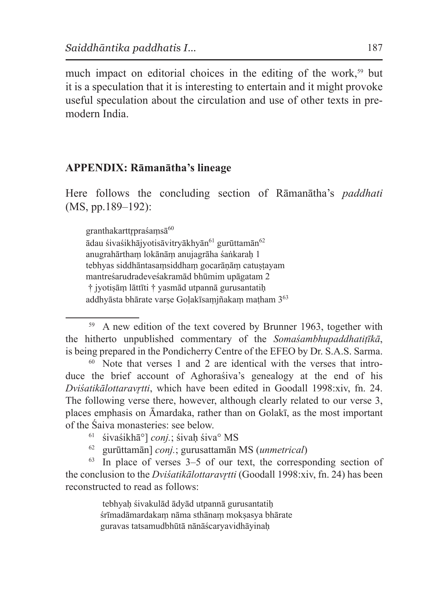much impact on editorial choices in the editing of the work,<sup>59</sup> but it is a speculation that it is interesting to entertain and it might provoke useful speculation about the circulation and use of other texts in premodern India.

### **APPENDIX: Rāmanātha's lineage**

Here follows the concluding section of Rāmanātha's *paddhati* (MS, pp.189–192):

 $granthakarttrprašamsā<sup>60</sup>$ 

ādau śivaśikhājyotisāvitryākhyān<sup>61</sup> gurūttamān<sup>62</sup> anugrahārthaṃ lokānāṃ anujagrāha śaṅkaraḥ 1 tebhyas siddhāntasamsiddham gocarānām catustayam mantreśarudradeveśakramād bhūmim upāgatam 2 † jyotiṣāṃ lāttīti † yasmād utpannā gurusantatiḥ addhyāsta bhārate varṣe Goḷakīsaṃjñakaṃ maṭham 363

 $60$  Note that verses 1 and 2 are identical with the verses that introduce the brief account of Aghoraśiva's genealogy at the end of his *Dviśatikālottaravr̥tti*, which have been edited in Goodall 1998:xiv, fn. 24. The following verse there, however, although clearly related to our verse 3, places emphasis on Āmardaka, rather than on Golakī, as the most important of the Śaiva monasteries: see below.

- <sup>61</sup> śivaśikhā°] *conj.*; śivaḥ śiva° MS
- <sup>62</sup> gurūttamān] *conj.*; gurusattamān MS (*unmetrical*)

 $63$  In place of verses  $3-5$  of our text, the corresponding section of the conclusion to the *Dviśatikālottaravrtti* (Goodall 1998:xiv, fn. 24) has been reconstructed to read as follows:

> tebhyah śivakulād ādyād utpannā gurusantatih śrīmadāmardakaṃ nāma sthānaṃ mokṣasya bhārate guravas tatsamudbhūtā nānāścaryavidhāyinaḥ

<sup>59</sup> A new edition of the text covered by Brunner 1963, together with the hitherto unpublished commentary of the *Somaśambhupaddhatiṭīkā*, is being prepared in the Pondicherry Centre of the EFEO by Dr. S.A.S. Sarma.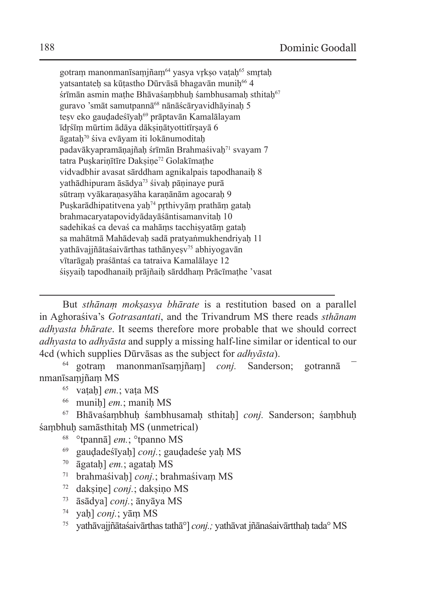gotraṃ manonmanīsaṃjñaṃ<sup>64</sup> yasya vrkṣo vaṭaḥ<sup>65</sup> smrtah vatsantateh sa kūtastho Dūrvāsā bhagavān munih<sup>66</sup> 4 śrīmān asmin mathe Bhāvaśambhuh śambhusamah sthitah<sup>67</sup> guravo 'smāt samutpannā<sup>68</sup> nānāścāryavidhāyinaḥ 5 tesv eko gaudadeśīyah<sup>69</sup> prāptavān Kamalālayam īdr̥śīṃ mūrtim ādāya dākṣiṇātyottitīrṣayā 6 āgataḥ70 śiva evāyam iti lokānumoditaḥ padavākyapramānajñah śrīmān Brahmaśivah<sup>71</sup> svayam 7 tatra Puskarinītīre Daksine<sup>72</sup> Golakīmathe vidvadbhir avasat sārddham agnikalpais tapodhanaih 8 yathādhipuram āsādya<sup>73</sup> śivah pāṇinaye purā sūtram vyākaranasyāha karanānām agocarah 9 Puskarādhipatitvena yah<sup>74</sup> prthivyām prathām gatah brahmacaryatapovidyādayāśāntisamanvitaḥ 10 sadehikaś ca devaś ca mahāms tacchisyatām gatah sa mahātmā Mahādevaḥ sadā pratyaṅmukhendriyaḥ 11 vathāvajjñātaśaivārthas tathānyesv<sup>75</sup> abhiyogavān vītarāgaḥ praśāntaś ca tatraiva Kamalālaye 12 śiṣyaiḥ tapodhanaiḥ prājñaiḥ sārddhaṃ Prācīmaṭhe 'vasat

But *sthānaṃ mokṣasya bhārate* is a restitution based on a parallel in Aghoraśiva's *Gotrasantati*, and the Trivandrum MS there reads *sthānam adhyasta bhārate*. It seems therefore more probable that we should correct *adhyasta* to *adhyāsta* and supply a missing half-line similar or identical to our 4cd (which supplies Dūrvāsas as the subject for *adhyāsta*).

<sup>64</sup> gotraṃ manonmanīsaṃjñaṃ] *conj.* Sanderson; gotrannā ¯ nmanīsaṃjñaṃ MS

- <sup>65</sup> vaṭaḥ] *em.*; vaṭa MS
- <sup>66</sup> muniḥ] *em.*; maniḥ MS

<sup>67</sup> Bhāvaśaṃbhuḥ śambhusamaḥ sthitaḥ] *conj.* Sanderson; śaṃbhuḥ śambhuh samāsthitah MS (unmetrical)

- <sup>68</sup> °tpannā] *em.*; °tpanno MS
- <sup>69</sup> gauḍadeśīyaḥ] *conj.*; gauḍadeśe yaḥ MS
- <sup>70</sup> āgataḥ] *em.*; agataḥ MS
- <sup>71</sup> brahmaśivaḥ] *conj.*; brahmaśivaṃ MS
- <sup>72</sup> dakṣiṇe] *conj.*; dakṣiṇo MS
- <sup>73</sup> āsādya] *conj.*; ānyāya MS
- <sup>74</sup> yaḥ] *conj.*; yāṃ MS
- <sup>75</sup> yathāvajjñātaśaivārthas tathā°] *conj.;* yathāvat jñānaśaivārtthaḥ tada° MS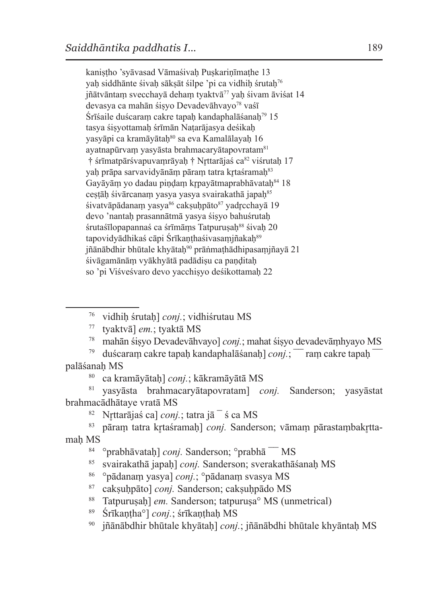kaniṣṭho 'syāvasad Vāmaśivaḥ Puṣkariṇīmaṭhe 13 yah siddhānte śivah sāksāt śilpe 'pi ca vidhih śrutah<sup>76</sup> jñātvāntam svecchavā deham tyaktvā<sup>77</sup> vah śivam āviśat 14 devasya ca mahān śiṣyo Devadevāhvayo<sup>78</sup> vaśī Śrīśaile duścaram cakre tapah kandaphalāśanah<sup>79</sup> 15 tasya śisyottamah śrīmān Natarājasya deśikah yasyāpi ca kramāyātah<sup>80</sup> sa eva Kamalālayah 16 ayatnapūrvam yasyāsta brahmacaryātapovratam<sup>81</sup> † śrīmatpārśvapuvamrāyaḥ † Nrttarājaś ca<sup>82</sup> viśrutaḥ 17 yah prāpa sarvavidyānām pāram tatra krtaśramah<sup>83</sup> Gayāyām yo dadau pindam krpayātmaprabhāvataḥ<sup>84</sup> 18 cestāh śivārcanam yasya yasya svairakathā japah<sup>85</sup> śivatvāpādanam yasya $86$  caksuḥpāto $87$  yadrcchayā 19 devo 'nantaḥ prasannātmā yasya śiṣyo bahuśrutaḥ śrutaśīlopapannaś ca śrīmāms Tatpurusah<sup>88</sup> śivah 20 tapovidyādhikaś cāpi Śrīkanthaśivasamjñakah<sup>89</sup> jñānābdhir bhūtale khyātah<sup>90</sup> prāṅmathādhipasamjñayā 21 śivāgamānām vyākhyātā padādisu ca panditah so 'pi Viśveśvaro devo yacchisyo deśikottamah 22

<sup>76</sup> vidhiḥ śrutaḥ] *conj.*; vidhiśrutau MS

<sup>78</sup> mahān śiṣyo Devadevāhvayo] *conj.*; mahat śiṣyo devadevāṃhyayo MS

<sup>79</sup> duścaram cakre tapah kandaphalāśanah] *coni.*; <sup>—</sup> ram cakre tapah palāśanaḥ MS

<sup>80</sup> ca kramāyātaḥ] *conj.*; kākramāyātā MS

<sup>81</sup> yasyāsta brahmacaryātapovratam] *conj.* Sanderson; yasyāstat brahmacādhātaye vratā MS

<sup>82</sup> Nrttarājas ca] *conj.*; tatra jā  $\overline{\phantom{a}}$  s ca MS

83 pāram tatra krtaśramah] *conj*. Sanderson; vāmam pārastambakr̥ttamaḥ MS

<sup>84</sup> °prabhāvataḥ] *conj*. Sanderson; °prabhā  $\overline{\ }$  MS

<sup>85</sup> svairakathā japaḥ] *conj.* Sanderson; sverakathāśanaḥ MS

- <sup>86</sup> °pādanaṃ yasya] *conj.*; °pādanaṃ svasya MS
- <sup>87</sup> cakṣuḥpāto] *conj.* Sanderson; cakṣuḥpādo MS
- <sup>88</sup> Tatpurusah] *em.* Sanderson; tatpurusa<sup>o</sup> MS (unmetrical)

<sup>89</sup> Śrīkaṇṭha°] *conj.*; śrīkaṇṭhaḥ MS

iñānābdhir bhūtale khyātah] *conj.*; jñānābdhi bhūtale khyāntaḥ MS

<sup>77</sup> tyaktvā] *em.*; tyaktā MS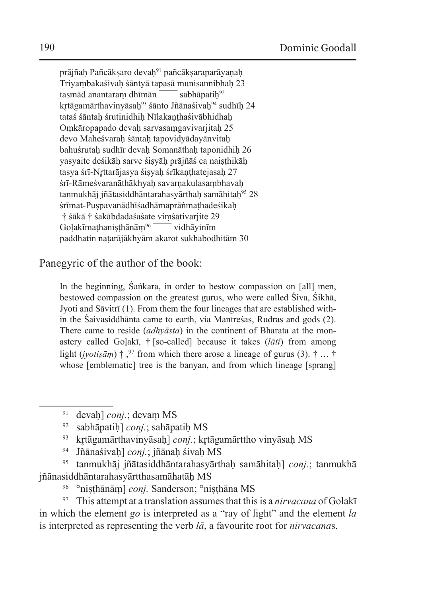prājñah Pañcāksaro devah<sup>91</sup> pañcāksaraparāyanah Triyambakaśivaḥ śāntyā tapasā munisannibhaḥ 23<br>tasmād anantaram dhīmān sabhāpatih<sup>92</sup> tasmād anantaram dhīmān  $\bar{ }$ kr̥tāgamārthavinyāsaḥ<sup>93</sup> śānto Jñānaśivaḥ<sup>94</sup> sudhīḥ 24 tataś śāntah śrutinidhih Nīlakanthaśivābhidhah Oṃkāropapado devaḥ sarvasaṃgavivarjitaḥ 25 devo Maheśvarah śāntah tapovidyādayānvitah bahuśrutah sudhīr devah Somanāthah taponidhih 26 yasyaite deśikāḥ sarve śiṣyāḥ prājñāś ca naiṣṭhikāḥ tasya śrī-Nrttarājasya śisyah śrīkanthatejasah 27 śrī-Rāmeśvaranāthākhyaḥ savarṇakulasaṃbhavaḥ tanmukhāj jñātasiddhāntarahasyārthah samāhitah<sup>95</sup> 28 śrīmat-Puspavanādhīśadhāmaprāṅmathadeśikah † śākā † śakābdadaśaśate viṃśativarjite 29 Golakīmathanisthānām<sup>96</sup> vidhāyinīm paddhatin naṭarājākhyām akarot sukhabodhitām 30

Panegyric of the author of the book:

In the beginning, Śaṅkara, in order to bestow compassion on [all] men, bestowed compassion on the greatest gurus, who were called Śiva, Śikhā, Jyoti and Sāvitrī (1). From them the four lineages that are established within the Śaivasiddhānta came to earth, via Mantreśas, Rudras and gods (2). There came to reside (*adhyāsta*) in the continent of Bharata at the monastery called Goḷakī, † [so-called] because it takes (*lāti*) from among light (*jyotiṣāṃ*) † ,<sup>97</sup> from which there arose a lineage of gurus (3). † ... † whose [emblematic] tree is the banyan, and from which lineage [sprang]

- <sup>92</sup> sabhāpatiḥ] *conj.*; sahāpatiḥ MS
- <sup>93</sup> krtāgamārthavinyāsah] *conj*.; krtāgamārttho vinyāsah MS
- <sup>94</sup> Jñānaśivaḥ] *conj.*; jñānaḥ śivaḥ MS

<sup>95</sup> tanmukhāj jñātasiddhāntarahasyārthaḥ samāhitaḥ] *conj.*; tanmukhā jñānasiddhāntarahasyārtthasamāhatāḥ MS

<sup>96</sup> °niṣṭhānāṃ] *conj.* Sanderson; °niṣṭhāna MS

<sup>97</sup> This attempt at a translation assumes that this is a *nirvacana* of Golakī in which the element *go* is interpreted as a "ray of light" and the element *la* is interpreted as representing the verb *lā*, a favourite root for *nirvacana*s.

<sup>91</sup> devaḥ] *conj.*; devaṃ MS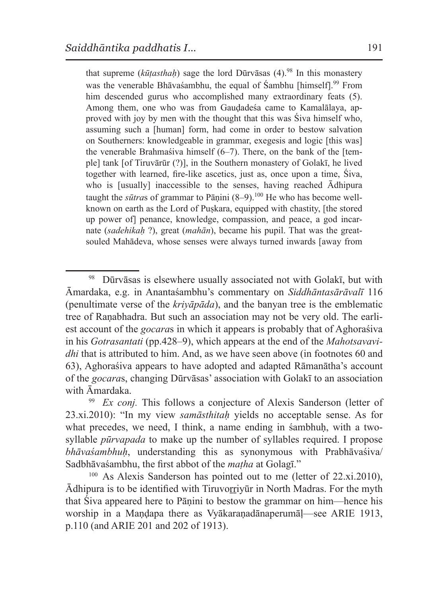that supreme (*kūṭasthaḥ*) sage the lord Dūrvāsas (4).98 In this monastery was the venerable Bhāvasambhu, the equal of Sambhu [himself].<sup>99</sup> From him descended gurus who accomplished many extraordinary feats (5). Among them, one who was from Gauḍadeśa came to Kamalālaya, approved with joy by men with the thought that this was Śiva himself who, assuming such a [human] form, had come in order to bestow salvation on Southerners: knowledgeable in grammar, exegesis and logic [this was] the venerable Brahmaśiva himself  $(6-7)$ . There, on the bank of the [temple] tank [of Tiruvārūr (?)], in the Southern monastery of Golakī, he lived together with learned, fire-like ascetics, just as, once upon a time, Śiva, who is [usually] inaccessible to the senses, having reached Ādhipura taught the *sūtras* of grammar to Pāṇini (8–9).<sup>100</sup> He who has become wellknown on earth as the Lord of Puskara, equipped with chastity, [the stored up power of] penance, knowledge, compassion, and peace, a god incarnate (*sadehikaḥ* ?), great (*mahān*), became his pupil. That was the greatsouled Mahādeva, whose senses were always turned inwards [away from

<sup>98</sup> Dūrvāsas is elsewhere usually associated not with Golakī, but with Āmardaka, e.g. in Anantaśambhu's commentary on *Siddhāntasārāvalī* 116 (penultimate verse of the *kriyāpāda*), and the banyan tree is the emblematic tree of Raṇabhadra. But such an association may not be very old. The earliest account of the *gocara*s in which it appears is probably that of Aghoraśiva in his *Gotrasantati* (pp.428–9), which appears at the end of the *Mahotsavavidhi* that is attributed to him. And, as we have seen above (in footnotes 60 and 63), Aghoraśiva appears to have adopted and adapted Rāmanātha's account of the *gocara*s, changing Dūrvāsas' association with Golakī to an association with Āmardaka.

<sup>&</sup>lt;sup>99</sup> *Ex conj*. This follows a conjecture of Alexis Sanderson (letter of 23.xi.2010): "In my view *samāsthitaḥ* yields no acceptable sense. As for what precedes, we need, I think, a name ending in sambhuh, with a twosyllable *pūrvapada* to make up the number of syllables required. I propose *bhāvaśambhuḥ*, understanding this as synonymous with Prabhāvaśiva/ Sadbhāvaśambhu, the first abbot of the *maṭha* at Golagī."

 $100$  As Alexis Sanderson has pointed out to me (letter of 22.xi.2010), Ādhipura is to be identified with Tiruvoṟṟiyūr in North Madras. For the myth that Śiva appeared here to Pāṇini to bestow the grammar on him—hence his worship in a Mandapa there as Vyākaranadānaperumāl—see ARIE 1913, p.110 (and ARIE 201 and 202 of 1913).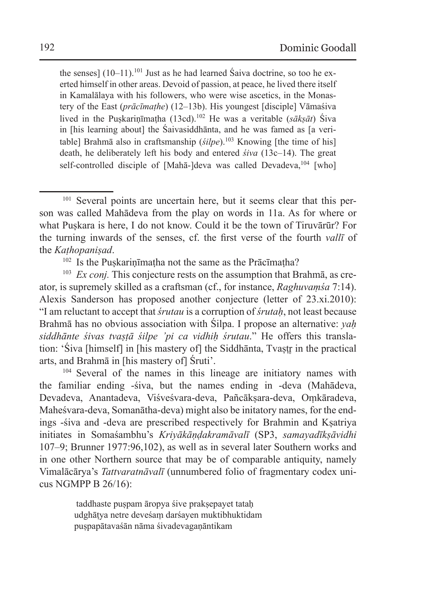the senses]  $(10-11)$ .<sup>101</sup> Just as he had learned Śaiva doctrine, so too he exerted himself in other areas. Devoid of passion, at peace, he lived there itself in Kamalālaya with his followers, who were wise ascetics, in the Monastery of the East (*prācīmaṭhe*) (12–13b). His youngest [disciple] Vāmaśiva lived in the Puṣkariṇīmaṭha (13cd).102 He was a veritable (*sākṣāt*) Śiva in [his learning about] the Śaivasiddhānta, and he was famed as [a veritable] Brahmā also in craftsmanship (*śilpe*).<sup>103</sup> Knowing [the time of his] death, he deliberately left his body and entered *śiva* (13c–14). The great self-controlled disciple of [Mahā-]deva was called Devadeva,<sup>104</sup> [who]

 $102$  Is the Puskarin $\overline{\text{t}}$  in a not the same as the Prācīmatha?

<sup>103</sup> *Ex coni*. This conjecture rests on the assumption that Brahmā, as creator, is supremely skilled as a craftsman (cf., for instance, *Raghuvaṃśa* 7:14). Alexis Sanderson has proposed another conjecture (letter of 23.xi.2010): "I am reluctant to accept that *śrutau* is a corruption of *śrutaḥ*, not least because Brahmā has no obvious association with Śilpa. I propose an alternative: *yaḥ siddhānte śivas tvaṣṭā śilpe 'pi ca vidhiḥ śrutau*." He offers this translation: 'Śiva [himself] in [his mastery of] the Siddhānta, Tvastr in the practical arts, and Brahmā in [his mastery of] Śruti'.

<sup>104</sup> Several of the names in this lineage are initiatory names with the familiar ending -śiva, but the names ending in -deva (Mahādeva, Devadeva, Anantadeva, Viśveśvara-deva, Pañcākṣara-deva, Oṃkāradeva, Maheśvara-deva, Somanātha-deva) might also be initatory names, for the endings -śiva and -deva are prescribed respectively for Brahmin and Kṣatriya initiates in Somaśambhu's *Kriyākāṇḍakramāvalī* (SP3, *samayadīkṣāvidhi* 107–9; Brunner 1977:96,102), as well as in several later Southern works and in one other Northern source that may be of comparable antiquity, namely Vimalācārya's *Tattvaratnāvalī* (unnumbered folio of fragmentary codex unicus NGMPP B 26/16):

> taddhaste puṣpam āropya śive prakṣepayet tataḥ udghāṭya netre deveśaṃ darśayen muktibhuktidam puṣpapātavaśān nāma śivadevagaṇāntikam

<sup>&</sup>lt;sup>101</sup> Several points are uncertain here, but it seems clear that this person was called Mahādeva from the play on words in 11a. As for where or what Puṣkara is here, I do not know. Could it be the town of Tiruvārūr? For the turning inwards of the senses, cf. the first verse of the fourth *vallī* of the *Kaṭhopaniṣad*.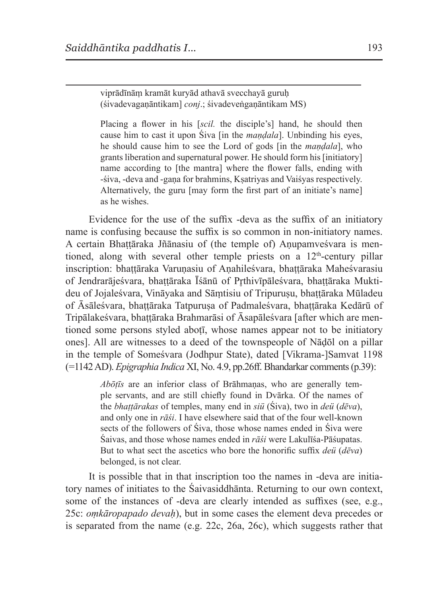viprādīnāṃ kramāt kuryād athavā svecchayā guruḥ (śivadevagaṇāntikam] *conj*.; śivadeveṅgaṇāntikam MS)

Placing a flower in his [*scil.* the disciple's] hand, he should then cause him to cast it upon Śiva [in the *maṇḍala*]. Unbinding his eyes, he should cause him to see the Lord of gods [in the *maṇḍala*], who grants liberation and supernatural power. He should form his [initiatory] name according to [the mantra] where the flower falls, ending with -śiva, -deva and -gaṇa for brahmins, Kṣatriyas and Vaiśyas respectively. Alternatively, the guru [may form the first part of an initiate's name] as he wishes.

Evidence for the use of the suffix -deva as the suffix of an initiatory name is confusing because the suffix is so common in non-initiatory names. A certain Bhattāraka Jñānasiu of (the temple of) Anupamveśvara is mentioned, along with several other temple priests on a  $12<sup>th</sup>$ -century pillar inscription: bhattāraka Varunasiu of Anahileśvara, bhattāraka Maheśvarasiu of Jendrarājeśvara, bhattāraka Īśānū of Prthivīpāleśvara, bhattāraka Muktideu of Jojaleśvara, Vināyaka and Sāmtisiu of Tripurusu, bhattāraka Mūladeu of Āsāleśvara, bhattāraka Tatpurusa of Padmaleśvara, bhattāraka Kedārū of Tripālakeśvara, bhattāraka Brahmarāsi of Āsapāleśvara [after which are mentioned some persons styled aboti, whose names appear not to be initiatory ones]. All are witnesses to a deed of the townspeople of Nāḍōl on a pillar in the temple of Someśvara (Jodhpur State), dated [Vikrama-]Samvat 1198 (=1142 AD). *Epigraphia Indica* XI, No. 4.9, pp.26ff. Bhandarkar comments (p.39):

> *Abōṭīs* are an inferior class of Brāhmaṇas, who are generally temple servants, and are still chiefly found in Dvārka. Of the names of the *bhaṭṭārakas* of temples, many end in *siü* (Śiva), two in *deü* (*dēva*), and only one in *rāśi*. I have elsewhere said that of the four well-known sects of the followers of Śiva, those whose names ended in Śiva were Śaivas, and those whose names ended in *rāśi* were Lakulīśa-Pāśupatas. But to what sect the ascetics who bore the honorific suffix *deü* (*dēva*) belonged, is not clear.

It is possible that in that inscription too the names in -deva are initiatory names of initiates to the Śaivasiddhānta. Returning to our own context, some of the instances of -deva are clearly intended as suffixes (see, e.g., 25c: *oṃkāropapado devaḥ*), but in some cases the element deva precedes or is separated from the name (e.g. 22c, 26a, 26c), which suggests rather that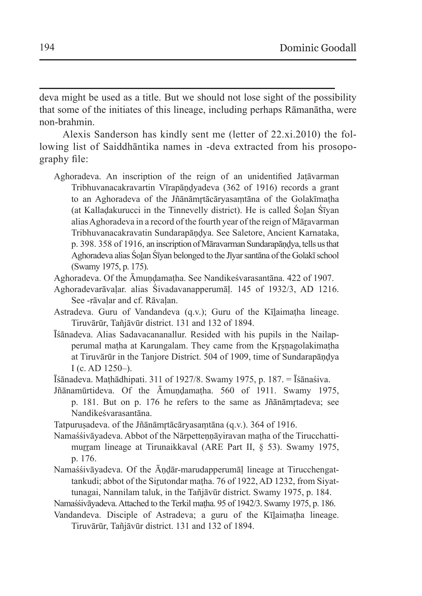deva might be used as a title. But we should not lose sight of the possibility that some of the initiates of this lineage, including perhaps Rāmanātha, were non-brahmin.

Alexis Sanderson has kindly sent me (letter of 22.xi.2010) the following list of Saiddhāntika names in -deva extracted from his prosopography file:

- Aghoradeva. An inscription of the reign of an unidentified Jaṭāvarman Tribhuvanacakravartin Vīrapāṇḍyadeva (362 of 1916) records a grant to an Aghoradeva of the Jñānāmr̥tācāryasaṃtāna of the Golakīmaṭha (at Kallaḍakurucci in the Tinnevelly district). He is called Śoḻan Śīyan alias Aghoradeva in a record of the fourth year of the reign of Māṟavarman Tribhuvanacakravatin Sundarapāṇḍya. See Saletore, Ancient Karnataka, p. 398. 358 of 1916, an inscription of Māravarman Sundarapāṇḍya, tells us that Aghoradeva alias Śoḻan Śīyan belonged to the Jīyar santāna of the Golakī school (Swamy 1975, p. 175).
- Aghoradeva. Of the Āmundamatha. See Nandikesvarasantāna. 422 of 1907.
- Aghoradevarāvaḷar. alias Śivadavanapperumāḷ. 145 of 1932/3, AD 1216. See -rāvaḷar and cf. Rāvaḷan.
- Astradeva. Guru of Vandandeva (q.v.); Guru of the Kīlaimatha lineage. Tiruvārūr, Tañjāvūr district. 131 and 132 of 1894.
- Īśānadeva. Alias Sadavacananallur. Resided with his pupils in the Nailapperumal matha at Karungalam. They came from the Krsnagolakimatha at Tiruvārūr in the Tanjore District. 504 of 1909, time of Sundarapāṇḍya I (c. AD 1250–).
- Īśānadeva. Maṭhādhipati. 311 of 1927/8. Swamy 1975, p. 187. = Īśānaśiva.
- Jñānamūrtideva. Of the Āmundamatha. 560 of 1911. Swamy 1975, p. 181. But on p. 176 he refers to the same as Jñānāmŗtadeva; see Nandikeśvarasantāna.
- Tatpuruṣadeva. of the Jñānāmṛtācāryasaṃtāna (q.v.). 364 of 1916.
- Namaśśivāyadeva. Abbot of the Nārpetteṇṇāyiravan maṭha of the Tirucchattimurram lineage at Tirunaikkaval (ARE Part II, § 53). Swamy 1975, p. 176.
- Namaśśivāyadeva. Of the Āṇḍār-marudapperumāḷ lineage at Tirucchengattankudi; abbot of the Sirutondar matha. 76 of 1922, AD 1232, from Siyattunagai, Nannilam taluk, in the Tañjāvūr district. Swamy 1975, p. 184.
- Namaśśivāyadeva. Attached to the Terkil mațha. 95 of 1942/3. Swamy 1975, p. 186.
- Vandandeva. Disciple of Astradeva; a guru of the Kīlaimatha lineage. Tiruvārūr, Tañjāvūr district. 131 and 132 of 1894.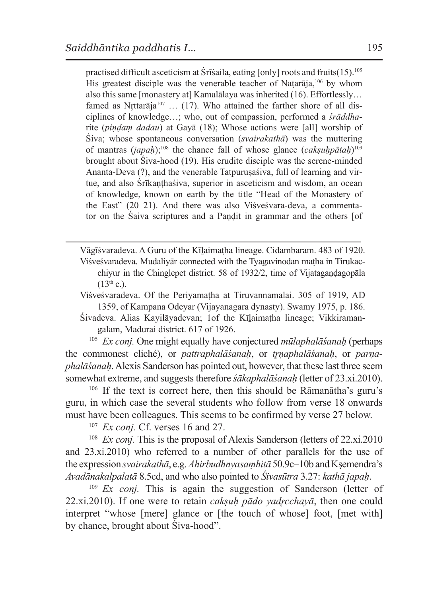practised difficult asceticism at Śrīśaila, eating [only] roots and fruits(15).105 His greatest disciple was the venerable teacher of Natarāja,<sup>106</sup> by whom also this same [monastery at] Kamalālaya was inherited (16). Effortlessly… famed as Nrttarāja<sup>107</sup> ... (17). Who attained the farther shore of all disciplines of knowledge…; who, out of compassion, performed a *śrāddha*rite (*piṇḍaṃ dadau*) at Gayā (18); Whose actions were [all] worship of Śiva; whose spontaneous conversation (*svairakathā*) was the muttering of mantras (*japaḥ*);108 the chance fall of whose glance (*cakṣuḥpātaḥ*)109 brought about Śiva-hood (19). His erudite disciple was the serene-minded Ananta-Deva (?), and the venerable Tatpuruṣaśiva, full of learning and virtue, and also Śrīkaṇṭhaśiva, superior in asceticism and wisdom, an ocean of knowledge, known on earth by the title "Head of the Monastery of the East" (20–21). And there was also Viśveśvara-deva, a commentator on the Śaiva scriptures and a Paṇḍit in grammar and the others [of

Vāgīśvaradeva. A Guru of the Kīḻaimaṭha lineage. Cidambaram. 483 of 1920. Viśveśvaradeva. Mudaliyār connected with the Tyagavinodan maṭha in Tirukacchiyur in the Chinglepet district. 58 of 1932/2, time of Vijatagaṇḍagopāla  $(13^{th} c)$ .

Viśveśvaradeva. Of the Periyamaṭha at Tiruvannamalai. 305 of 1919, AD 1359, of Kampana Odeyar (Vijayanagara dynasty). Swamy 1975, p. 186.

Śivadeva. Alias Kayilāyadevan; 1of the Kīḻaimaṭha lineage; Vikkiramangalam, Madurai district. 617 of 1926.

<sup>105</sup> *Ex conj.* One might equally have conjectured *mūlaphalāśanaḥ* (perhaps the commonest cliché), or *pattraphalāśanah*, or *trnaphalāśanah*, or *parnaphalāśanaḥ*. Alexis Sanderson has pointed out, however, that these last three seem somewhat extreme, and suggests therefore *śākaphalāśanaḥ* (letter of 23.xi.2010).

<sup>106</sup> If the text is correct here, then this should be Rāmanātha's guru's guru, in which case the several students who follow from verse 18 onwards must have been colleagues. This seems to be confirmed by verse 27 below.

<sup>107</sup> *Ex conj.* Cf. verses 16 and 27.

<sup>108</sup> *Ex conj*. This is the proposal of Alexis Sanderson (letters of 22.xi.2010) and 23.xi.2010) who referred to a number of other parallels for the use of the expression *svairakathā*, e.g.*Ahirbudhnyasaṃhitā* 50.9c–10b and Kṣemendra's *Avadānakalpalatā* 8.5cd, and who also pointed to *Śivasūtra* 3.27: *kathā japaḥ*.

<sup>109</sup> *Ex conj.* This is again the suggestion of Sanderson (letter of 22.xi.2010). If one were to retain *cakṣuḥ pādo yadr̥cchayā*, then one could interpret "whose [mere] glance or [the touch of whose] foot, [met with] by chance, brought about Śiva-hood".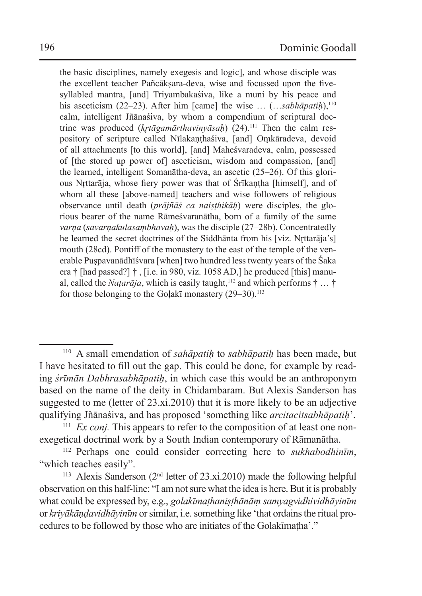the basic disciplines, namely exegesis and logic], and whose disciple was the excellent teacher Pañcāksara-deva, wise and focussed upon the fivesyllabled mantra, [and] Triyambakaśiva, like a muni by his peace and his asceticism (22–23). After him [came] the wise ... (...sabhāpatih),<sup>110</sup> calm, intelligent Jñānaśiva, by whom a compendium of scriptural doctrine was produced (*krtāgamārthavinyāsah*) (24).<sup>111</sup> Then the calm respository of scripture called Nīlakanthaśiva, [and] Omkāradeva, devoid of all attachments [to this world], [and] Maheśvaradeva, calm, possessed of [the stored up power of] asceticism, wisdom and compassion, [and] the learned, intelligent Somanātha-deva, an ascetic (25–26). Of this glorious Nr̥ttarāja, whose fiery power was that of Śrīkaṇṭha [himself], and of whom all these [above-named] teachers and wise followers of religious observance until death (*prājñāś ca naiṣṭhikāḥ*) were disciples, the glorious bearer of the name Rāmeśvaranātha, born of a family of the same *varna* (*savarnakulasambhavah*), was the disciple (27–28b). Concentratedly he learned the secret doctrines of the Siddhānta from his [viz. Nrttarāja's] mouth (28cd). Pontiff of the monastery to the east of the temple of the venerable Puṣpavanādhīśvara [when] two hundred less twenty years of the Śaka era † [had passed?] † , [i.e. in 980, viz. 1058 AD,] he produced [this] manual, called the *Natarāja*, which is easily taught,<sup>112</sup> and which performs  $\dagger$  ...  $\dagger$ for those belonging to the Golak<del>i</del> monastery  $(29-30)$ .<sup>113</sup>

<sup>110</sup> A small emendation of *sahāpatiḥ* to *sabhāpatiḥ* has been made, but I have hesitated to fill out the gap. This could be done, for example by reading *śrīmān Dabhrasabhāpatiḥ*, in which case this would be an anthroponym based on the name of the deity in Chidambaram. But Alexis Sanderson has suggested to me (letter of 23.xi.2010) that it is more likely to be an adjective qualifying Jñānaśiva, and has proposed 'something like *arcitacitsabhāpatiḥ*'.

<sup>&</sup>lt;sup>111</sup> *Ex conj*. This appears to refer to the composition of at least one nonexegetical doctrinal work by a South Indian contemporary of Rāmanātha.

<sup>112</sup> Perhaps one could consider correcting here to *sukhabodhinīm*, "which teaches easily".

<sup>&</sup>lt;sup>113</sup> Alexis Sanderson ( $2<sup>nd</sup>$  letter of 23.xi.2010) made the following helpful observation on this half-line: "I am not sure what the idea is here. But it is probably what could be expressed by, e.g., *golakīmaṭhaniṣṭhānāṃ samyagvidhividhāyinīm* or *kriyākāṇḍavidhāyinīm* or similar, i.e.something like 'that ordains the ritual procedures to be followed by those who are initiates of the Golakīmaṭha'."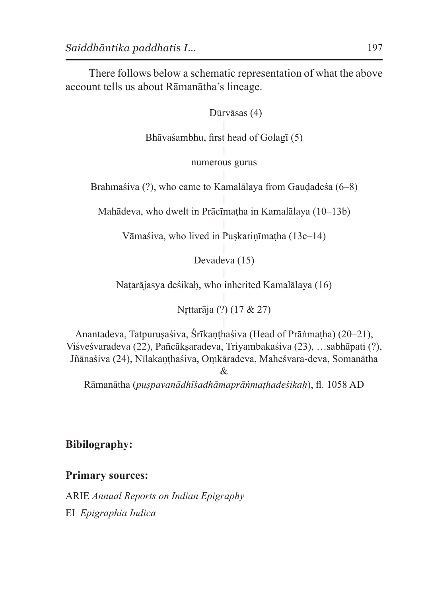There follows below a schematic representation of what the above account tells us about Rāmanātha's lineage.

Dūrvāsas (4)

| Bhāvaśambhu, first head of Golagī (5)

> | numerous gurus

| Brahmaśiva (?), who came to Kamalālaya from Gaudadeśa (6–8)

| Mahādeva, who dwelt in Prācīmaṭha in Kamalālaya (10–13b)

| Vāmaśiva, who lived in Puṣkariṇīmaṭha (13c–14)

> | Devadeva (15)

| Naṭarājasya deśikaḥ, who inherited Kamalālaya (16)

> | Nr̥ttarāja (?) (17 & 27)

| Anantadeva, Tatpuruṣaśiva, Śrīkaṇṭhaśiva (Head of Prāṅmaṭha) (20–21), Viśveśvaradeva (22), Pañcākṣaradeva, Triyambakaśiva (23), …sabhāpati (?), Jñānaśiva (24), Nīlakanthaśiva, Omkāradeva, Maheśvara-deva, Somanātha &

Rāmanātha (*puṣpavanādhīśadhāmaprāṅmaṭhadeśikaḥ*), fl. 1058 AD

# **Bibilography:**

### **Primary sources:**

ARIE *Annual Reports on Indian Epigraphy* EI *Epigraphia Indica*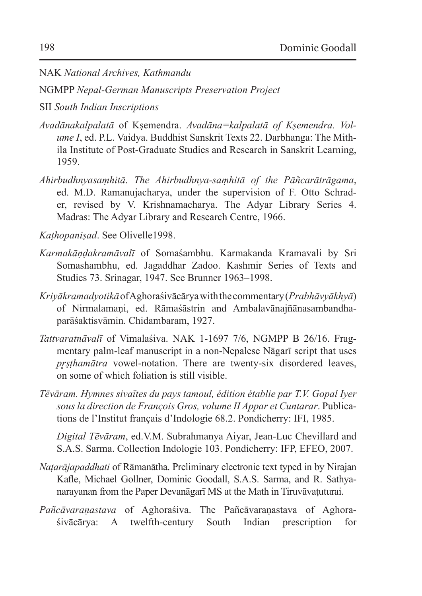NAK *National Archives, Kathmandu*

NGMPP *Nepal-German Manuscripts Preservation Project*

SII *South Indian Inscriptions*

- *Avadānakalpalatā* of Kṣemendra. *Avadāna=kalpalatā of Kṣemendra. Volume I*, ed. P.L. Vaidya. Buddhist Sanskrit Texts 22. Darbhanga: The Mithila Institute of Post-Graduate Studies and Research in Sanskrit Learning, 1959.
- *Ahirbudhnyasaṃhitā*. *The Ahirbudhnya-saṃhitā of the Pāñcarātrāgama*, ed. M.D. Ramanujacharya, under the supervision of F. Otto Schrader, revised by V. Krishnamacharya. The Adyar Library Series 4. Madras: The Adyar Library and Research Centre, 1966.

*Kaṭhopaniṣad*. See Olivelle1998.

- *Karmakāṇḍakramāvalī* of Somaśambhu. Karmakanda Kramavali by Sri Somashambhu, ed. Jagaddhar Zadoo. Kashmir Series of Texts and Studies 73. Srinagar, 1947. See Brunner 1963–1998.
- *Kriyākramadyotikā* of Aghoraśivācārya with thecommentary (*Prabhāvyākhyā*) of Nirmalamaṇi, ed. Rāmaśāstrin and Ambalavānajñānasambandhaparāśaktisvāmin. Chidambaram, 1927.
- *Tattvaratnāvalī* of Vimalaśiva. NAK 1-1697 7/6, NGMPP B 26/16. Fragmentary palm-leaf manuscript in a non-Nepalese Nāgarī script that uses *prsthamātra* vowel-notation. There are twenty-six disordered leaves, on some of which foliation is still visible.
- *Tēvāram. Hymnes sivaïtes du pays tamoul, édition établie par T.V. Gopal Iyer sous la direction de François Gros, volume II Appar et Cuntarar*. Publications de l'Institut français d'Indologie 68.2. Pondicherry: IFI, 1985.

*Digital Tēvāram*, ed.V.M. Subrahmanya Aiyar, Jean-Luc Chevillard and S.A.S. Sarma. Collection Indologie 103. Pondicherry: IFP, EFEO, 2007.

- *Naṭarājapaddhati* of Rāmanātha. Preliminary electronic text typed in by Nirajan Kafle, Michael Gollner, Dominic Goodall, S.A.S. Sarma, and R. Sathyanarayanan from the Paper Devanāgarī MS at the Math in Tiruvāvaṭuturai.
- *Pañcāvaraṇastava* of Aghoraśiva. The Pañcāvaraṇastava of Aghoraśivācārya: A twelfth-century South Indian prescription for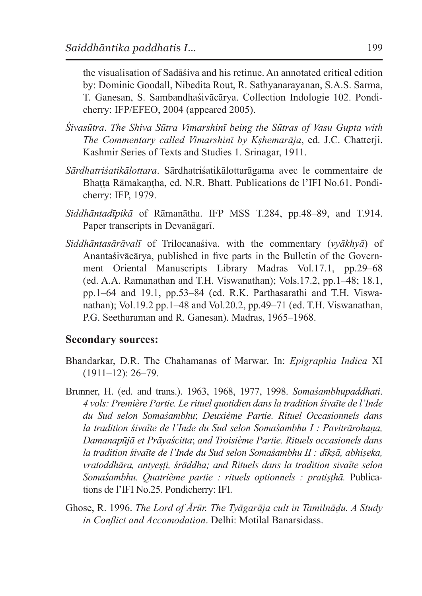the visualisation of Sadāśiva and his retinue. An annotated critical edition by: Dominic Goodall, Nibedita Rout, R. Sathyanarayanan, S.A.S. Sarma, T. Ganesan, S. Sambandhaśivācārya. Collection Indologie 102. Pondicherry: IFP/EFEO, 2004 (appeared 2005).

- *Śivasūtra*. *The Shiva Sūtra Vimarshinī being the Sūtras of Vasu Gupta with The Commentary called Vimarshinī by Kṣhemarāja*, ed. J.C. Chatterji. Kashmir Series of Texts and Studies 1. Srinagar, 1911.
- *Sārdhatriśatikālottara*. Sārdhatriśatikālottarāgama avec le commentaire de Bhaṭṭa Rāmakaṇṭha, ed. N.R. Bhatt. Publications de l'IFI No.61. Pondicherry: IFP, 1979.
- *Siddhāntadīpikā* of Rāmanātha. IFP MSS T.284, pp.48–89, and T.914. Paper transcripts in Devanāgarī.
- *Siddhāntasārāvalī* of Trilocanaśiva. with the commentary (*vyākhyā*) of Anantaśivācārya, published in five parts in the Bulletin of the Government Oriental Manuscripts Library Madras Vol.17.1, pp.29–68 (ed. A.A. Ramanathan and T.H. Viswanathan); Vols.17.2, pp.1–48; 18.1, pp.1–64 and 19.1, pp.53–84 (ed. R.K. Parthasarathi and T.H. Viswanathan); Vol.19.2 pp.1–48 and Vol.20.2, pp.49–71 (ed. T.H. Viswanathan, P.G. Seetharaman and R. Ganesan). Madras, 1965–1968.

#### **Secondary sources:**

- Bhandarkar, D.R. The Chahamanas of Marwar. In: *Epigraphia Indica* XI (1911–12): 26–79.
- Brunner, H. (ed. and trans.). 1963, 1968, 1977, 1998. *Somaśambhupaddhati*. *4 vols: Première Partie. Le rituel quotidien dans la tradition śivaïte de l'Inde du Sud selon Somaśambhu*; *Deuxième Partie. Rituel Occasionnels dans la tradition śivaïte de l'Inde du Sud selon Somaśambhu I : Pavitrārohaṇa, Damanapūjā et Prāyaścitta*; *and Troisième Partie. Rituels occasionels dans la tradition śivaïte de l'Inde du Sud selon Somaśambhu II : dīkṣā, abhiṣeka, vratoddhāra, antyeṣṭi, śrāddha; and Rituels dans la tradition sivaïte selon Somaśambhu. Quatrième partie : rituels optionnels : pratiṣṭhā.* Publications de l'IFI No.25. Pondicherry: IFI.
- Ghose, R. 1996. *The Lord of Ārūr. The Tyāgarāja cult in Tamilnāḍu. A Study in Conflict and Accomodation*. Delhi: Motilal Banarsidass.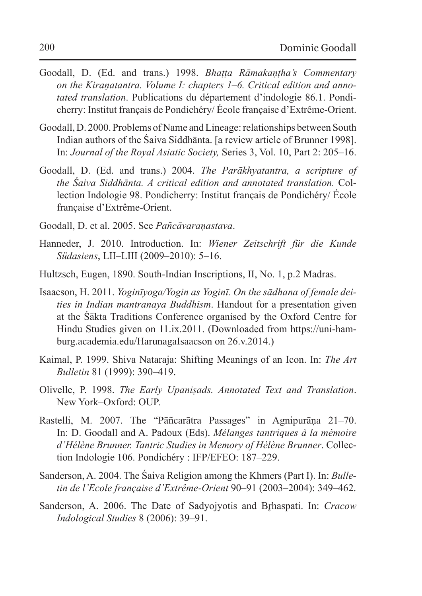- Goodall, D. (Ed. and trans.) 1998. *Bhaṭṭa Rāmakaṇṭha's Commentary on the Kiraṇatantra. Volume I: chapters 1–6. Critical edition and annotated translation*. Publications du département d'indologie 86.1. Pondicherry: Institut français de Pondichéry/ École française d'Extrême-Orient.
- Goodall, D. 2000. Problems of Name and Lineage: relationships between South Indian authors of the Śaiva Siddhānta. [a review article of Brunner 1998]. In: *Journal of the Royal Asiatic Society,* Series 3, Vol. 10, Part 2: 205–16.
- Goodall, D. (Ed. and trans.) 2004. *The Parākhyatantra, a scripture of the Śaiva Siddhānta. A critical edition and annotated translation.* Collection Indologie 98. Pondicherry: Institut français de Pondichéry/ École française d'Extrême-Orient.
- Goodall, D. et al. 2005. See *Pañcāvaraṇastava*.
- Hanneder, J. 2010. Introduction. In: *Wiener Zeitschrift für die Kunde Südasiens*, LII–LIII (2009–2010): 5–16.
- Hultzsch, Eugen, 1890. South-Indian Inscriptions, II, No. 1, p.2 Madras.
- Isaacson, H. 2011. *Yoginīyoga/Yogin as Yoginī. On the sādhana of female deities in Indian mantranaya Buddhism*. Handout for a presentation given at the Śākta Traditions Conference organised by the Oxford Centre for Hindu Studies given on 11.ix.2011. (Downloaded from https://uni-hamburg.academia.edu/HarunagaIsaacson on 26.v.2014.)
- Kaimal, P. 1999. Shiva Nataraja: Shifting Meanings of an Icon. In: *The Art Bulletin* 81 (1999): 390–419.
- Olivelle, P. 1998. *The Early Upaniṣads. Annotated Text and Translation*. New York–Oxford: OUP.
- Rastelli, M. 2007. The "Pāñcarātra Passages" in Agnipurāna 21–70. In: D. Goodall and A. Padoux (Eds). *Mélanges tantriques à la mémoire d'Hélène Brunner. Tantric Studies in Memory of Hélène Brunner*. Collection Indologie 106. Pondichéry : IFP/EFEO: 187–229.
- Sanderson, A. 2004. The Śaiva Religion among the Khmers (Part I). In: *Bulletin de l'Ecole française d'Extrême-Orient* 90–91 (2003–2004): 349–462.
- Sanderson, A. 2006. The Date of Sadyojyotis and Brhaspati. In: *Cracow Indological Studies* 8 (2006): 39–91.